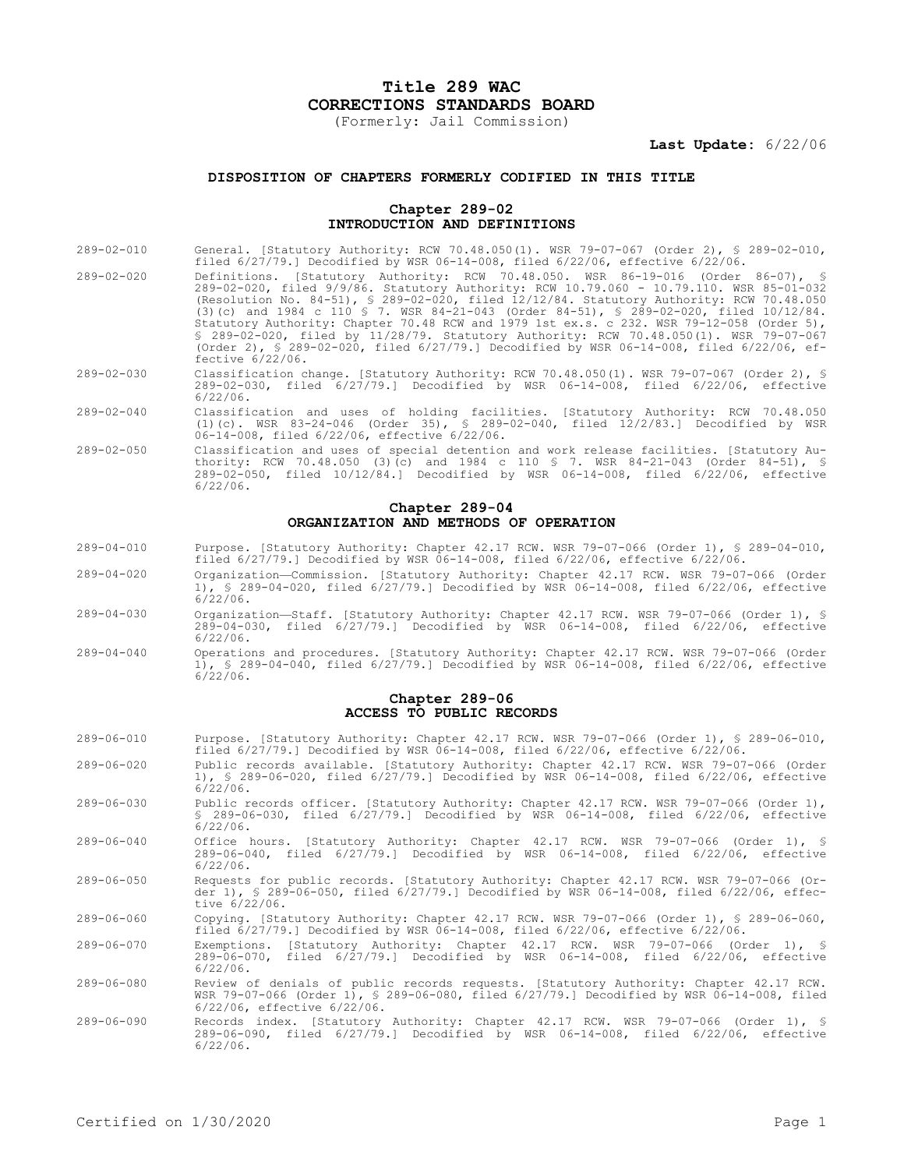# **Title 289 WAC CORRECTIONS STANDARDS BOARD**

(Formerly: Jail Commission)

**Last Update:** 6/22/06

# **DISPOSITION OF CHAPTERS FORMERLY CODIFIED IN THIS TITLE**

## **Chapter 289-02 INTRODUCTION AND DEFINITIONS**

- 289-02-010 General. [Statutory Authority: RCW 70.48.050(1). WSR 79-07-067 (Order 2), § 289-02-010, filed 6/27/79.] Decodified by WSR 06-14-008, filed 6/22/06, effective 6/22/06. 289-02-020 Definitions. [Statutory Authority: RCW 70.48.050. WSR 86-19-016 (Order 86-07), 289-02-020, filed 9/9/86. Statutory Authority: RCW 10.79.060 - 10.79.110. WSR 85-01-032 (Resolution No. 84-51), § 289-02-020, filed 12/12/84. Statutory Authority: RCW 70.48.050 (3)(c) and 1984 c 110 § 7. WSR 84-21-043 (Order 84-51), § 289-02-020, filed 10/12/84. Statutory Authority: Chapter 70.48 RCW and 1979 1st ex.s. c 232. WSR 79-12-058 (Order 5), § 289-02-020, filed by 11/28/79. Statutory Authority: RCW 70.48.050(1). WSR 79-07-067 (Order 2), § 289-02-020, filed 6/27/79.] Decodified by WSR 06-14-008, filed 6/22/06, effective 6/22/06.
- 289-02-030 Classification change. [Statutory Authority: RCW 70.48.050(1). WSR 79-07-067 (Order 2), § 289-02-030, filed 6/27/79.] Decodified by WSR 06-14-008, filed 6/22/06, effective 6/22/06.
- 289-02-040 Classification and uses of holding facilities. [Statutory Authority: RCW 70.48.050 (1)(c). WSR 83-24-046 (Order 35), § 289-02-040, filed 12/2/83.] Decodified by WSR 06-14-008, filed 6/22/06, effective 6/22/06.
- 289-02-050 Classification and uses of special detention and work release facilities. [Statutory Authority: RCW 70.48.050 (3)(c) and 1984 c 110 § 7. WSR 84-21-043 (Order 84-51), § 289-02-050, filed 10/12/84.] Decodified by WSR 06-14-008, filed 6/22/06, effective 6/22/06.

#### **Chapter 289-04 ORGANIZATION AND METHODS OF OPERATION**

- 289-04-010 Purpose. [Statutory Authority: Chapter 42.17 RCW. WSR 79-07-066 (Order 1), § 289-04-010, filed 6/27/79.] Decodified by WSR 06-14-008, filed 6/22/06, effective 6/22/06.
- 289-04-020 Organization—Commission. [Statutory Authority: Chapter 42.17 RCW. WSR 79-07-066 (Order 1), § 289-04-020, filed 6/27/79.] Decodified by WSR 06-14-008, filed 6/22/06, effective 6/22/06.
- 289-04-030 Organization—Staff. [Statutory Authority: Chapter 42.17 RCW. WSR 79-07-066 (Order 1), § 289-04-030, filed 6/27/79.] Decodified by WSR 06-14-008, filed 6/22/06, effective 6/22/06.
- 289-04-040 Operations and procedures. [Statutory Authority: Chapter 42.17 RCW. WSR 79-07-066 (Order 1), § 289-04-040, filed 6/27/79.] Decodified by WSR 06-14-008, filed 6/22/06, effective 6/22/06.

#### **Chapter 289-06 ACCESS TO PUBLIC RECORDS**

| $289 - 06 - 010$ | Purpose. [Statutory Authority: Chapter 42.17 RCW. WSR 79-07-066 (Order 1), § 289-06-010,<br>filed $6/27/79.$ Decodified by WSR 06-14-008, filed $6/22/06$ , effective $6/22/06$ .                                        |
|------------------|--------------------------------------------------------------------------------------------------------------------------------------------------------------------------------------------------------------------------|
| $289 - 06 - 020$ | Public records available. [Statutory Authority: Chapter 42.17 RCW. WSR 79-07-066 (Order<br>1), § 289-06-020, filed 6/27/79.1 Decodified by WSR 06-14-008, filed 6/22/06, effective<br>$6/22/06$ .                        |
| $289 - 06 - 030$ | Public records officer. [Statutory Authority: Chapter 42.17 RCW. WSR 79-07-066 (Order 1),<br>$$289-06-030$ , filed $6/27/79$ . Decodified by WSR 06-14-008, filed $6/22/06$ , effective<br>$6/22/06$ .                   |
| $289 - 06 - 040$ | Office hours. [Statutory Authority: Chapter 42.17 RCW. WSR 79-07-066 (Order 1), §<br>289-06-040, filed 6/27/79.1 Decodified by WSR 06-14-008, filed 6/22/06, effective<br>$6/22/06$ .                                    |
| $289 - 06 - 050$ | Requests for public records. [Statutory Authority: Chapter 42.17 RCW. WSR 79-07-066 (Or-<br>der 1), § 289-06-050, filed 6/27/79.1 Decodified by WSR 06-14-008, filed 6/22/06, effec-<br>tive 6/22/06.                    |
| $289 - 06 - 060$ | Copying. [Statutory Authority: Chapter 42.17 RCW. WSR 79-07-066 (Order 1), § 289-06-060,<br>filed $6/27/79$ .] Decodified by WSR $06-14-008$ , filed $6/22/06$ , effective $6/22/06$ .                                   |
| 289-06-070       | Exemptions. [Statutory Authority: Chapter 42.17 RCW. WSR 79-07-066 (Order 1), §<br>289-06-070, filed 6/27/79.1 Decodified by WSR 06-14-008, filed 6/22/06, effective<br>$6/22/06$ .                                      |
| $289 - 06 - 080$ | Review of denials of public records requests. [Statutory Authority: Chapter 42.17 RCW.<br>WSR 79-07-066 (Order 1), § 289-06-080, filed 6/27/79.] Decodified by WSR 06-14-008, filed<br>$6/22/06$ , effective $6/22/06$ . |
| $289 - 06 - 090$ | Records index. [Statutory Authority: Chapter 42.17 RCW. WSR 79-07-066 (Order 1), §<br>289-06-090, filed 6/27/79.1 Decodified by WSR 06-14-008, filed 6/22/06, effective<br>$6/22/06$                                     |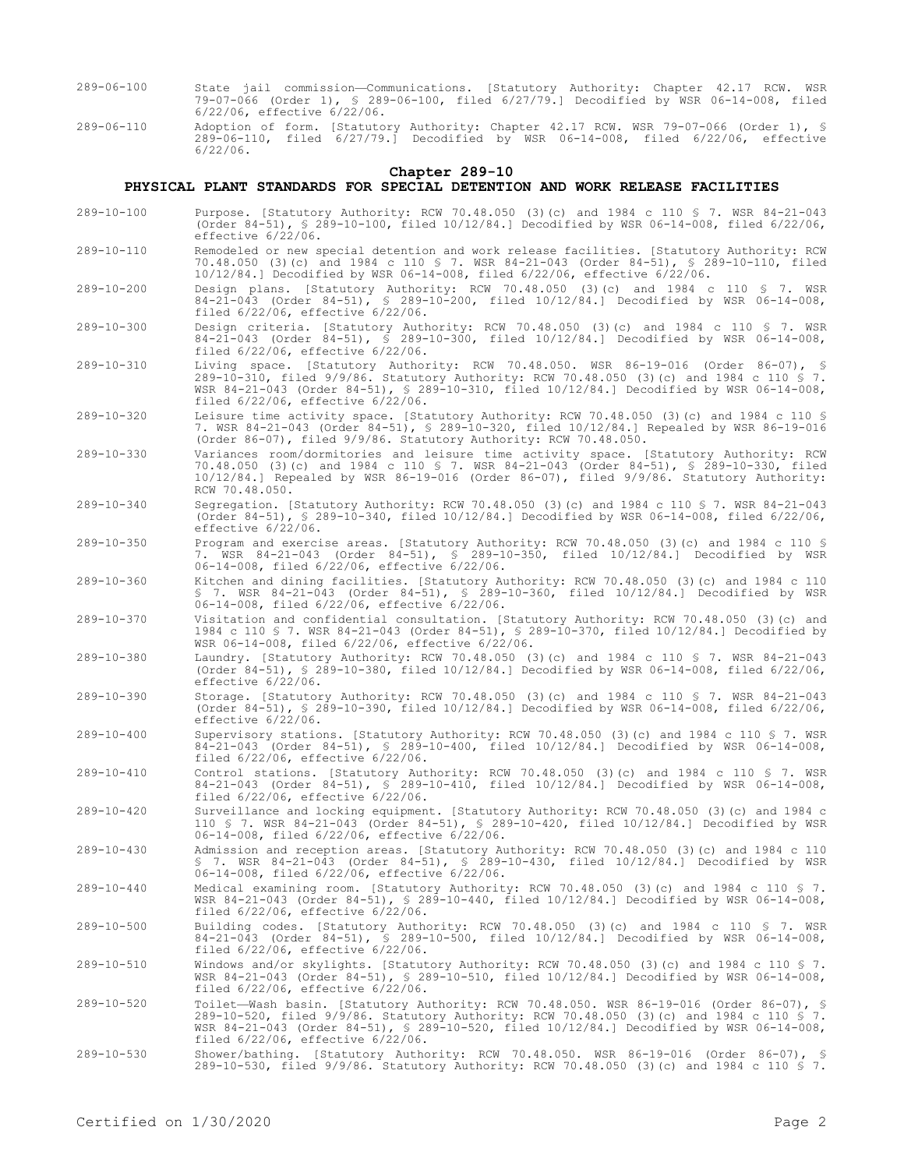- 289-06-100 State jail commission—Communications. [Statutory Authority: Chapter 42.17 RCW. WSR 79-07-066 (Order 1), § 289-06-100, filed 6/27/79.] Decodified by WSR 06-14-008, filed 6/22/06, effective 6/22/06.
- 289-06-110 Adoption of form. [Statutory Authority: Chapter 42.17 RCW. WSR 79-07-066 (Order 1), § 289-06-110, filed 6/27/79.] Decodified by WSR 06-14-008, filed 6/22/06, effective 6/22/06.

#### **Chapter 289-10**

## **PHYSICAL PLANT STANDARDS FOR SPECIAL DETENTION AND WORK RELEASE FACILITIES**

- 289-10-100 Purpose. [Statutory Authority: RCW 70.48.050 (3)(c) and 1984 c 110 § 7. WSR 84-21-043 (Order 84-51), § 289-10-100, filed 10/12/84.] Decodified by WSR 06-14-008, filed 6/22/06, effective 6/22/06.
- 289-10-110 Remodeled or new special detention and work release facilities. [Statutory Authority: RCW 70.48.050 (3)(c) and 1984 c 110 § 7. WSR 84-21-043 (Order 84-51), § 289-10-110, filed 10/12/84.] Decodified by WSR 06-14-008, filed 6/22/06, effective 6/22/06.
- 289-10-200 Design plans. [Statutory Authority: RCW 70.48.050 (3)(c) and 1984 c 110 § 7. WSR 84-21-043 (Order 84-51), § 289-10-200, filed 10/12/84.] Decodified by WSR 06-14-008, filed 6/22/06, effective 6/22/06.
- 289-10-300 Design criteria. [Statutory Authority: RCW 70.48.050 (3)(c) and 1984 c 110 § 7. WSR 84-21-043 (Order 84-51), § 289-10-300, filed 10/12/84.] Decodified by WSR 06-14-008, filed 6/22/06, effective 6/22/06.
- 289-10-310 Living space. [Statutory Authority: RCW 70.48.050. WSR 86-19-016 (Order 86-07), § 289-10-310, filed 9/9/86. Statutory Authority: RCW 70.48.050 (3)(c) and 1984 c 110 § 7. WSR 84-21-043 (Order 84-51), § 289-10-310, filed 10/12/84.] Decodified by WSR 06-14-008, filed 6/22/06, effective 6/22/06.
- 289-10-320 Leisure time activity space. [Statutory Authority: RCW 70.48.050 (3)(c) and 1984 c 110 § 7. WSR 84-21-043 (Order 84-51), § 289-10-320, filed 10/12/84.] Repealed by WSR 86-19-016 (Order 86-07), filed 9/9/86. Statutory Authority: RCW 70.48.050.
- 289-10-330 Variances room/dormitories and leisure time activity space. [Statutory Authority: RCW 70.48.050 (3)(c) and 1984 c 110 § 7. WSR 84-21-043 (Order 84-51), § 289-10-330, filed 10/12/84.] Repealed by WSR 86-19-016 (Order 86-07), filed 9/9/86. Statutory Authority: RCW 70.48.050.
- 289-10-340 Segregation. [Statutory Authority: RCW 70.48.050 (3)(c) and 1984 c 110 § 7. WSR 84-21-043 (Order 84-51), § 289-10-340, filed 10/12/84.] Decodified by WSR 06-14-008, filed 6/22/06, effective 6/22/06.
- 289-10-350 Program and exercise areas. [Statutory Authority: RCW 70.48.050 (3)(c) and 1984 c 110 § 7. WSR 84-21-043 (Order 84-51), § 289-10-350, filed 10/12/84.] Decodified by WSR 06-14-008, filed 6/22/06, effective 6/22/06.
- 289-10-360 Kitchen and dining facilities. [Statutory Authority: RCW 70.48.050 (3)(c) and 1984 c 110 § 7. WSR 84-21-043 (Order 84-51), § 289-10-360, filed 10/12/84.] Decodified by WSR 06-14-008, filed 6/22/06, effective 6/22/06.
- 289-10-370 Visitation and confidential consultation. [Statutory Authority: RCW 70.48.050 (3)(c) and 1984 c 110 § 7. WSR 84-21-043 (Order 84-51), § 289-10-370, filed 10/12/84.] Decodified by WSR 06-14-008, filed 6/22/06, effective 6/22/06.
- 289-10-380 Laundry. [Statutory Authority: RCW 70.48.050 (3)(c) and 1984 c 110 § 7. WSR 84-21-043 (Order 84-51), § 289-10-380, filed 10/12/84.] Decodified by WSR 06-14-008, filed 6/22/06, effective 6/22/06.
- 289-10-390 Storage. [Statutory Authority: RCW 70.48.050 (3)(c) and 1984 c 110 § 7. WSR 84-21-043 (Order 84-51), § 289-10-390, filed 10/12/84.] Decodified by WSR 06-14-008, filed 6/22/06, effective 6/22/06.
- 289-10-400 Supervisory stations. [Statutory Authority: RCW 70.48.050 (3)(c) and 1984 c 110 § 7. WSR 84-21-043 (Order 84-51), § 289-10-400, filed 10/12/84.] Decodified by WSR 06-14-008, filed 6/22/06, effective 6/22/06.
- 289-10-410 Control stations. [Statutory Authority: RCW 70.48.050 (3)(c) and 1984 c 110 § 7. WSR 84-21-043 (Order 84-51), § 289-10-410, filed 10/12/84.] Decodified by WSR 06-14-008, filed 6/22/06, effective 6/22/06.
- 289-10-420 Surveillance and locking equipment. [Statutory Authority: RCW 70.48.050 (3)(c) and 1984 c 110 § 7. WSR 84-21-043 (Order 84-51), § 289-10-420, filed 10/12/84.] Decodified by WSR 06-14-008, filed 6/22/06, effective 6/22/06.
- 289-10-430 Admission and reception areas. [Statutory Authority: RCW 70.48.050 (3)(c) and 1984 c 110 § 7. WSR 84-21-043 (Order 84-51), § 289-10-430, filed 10/12/84.] Decodified by WSR 06-14-008, filed 6/22/06, effective 6/22/06.
- 289-10-440 Medical examining room. [Statutory Authority: RCW 70.48.050 (3)(c) and 1984 c 110 § 7. WSR 84-21-043 (Order 84-51), § 289-10-440, filed 10/12/84.] Decodified by WSR 06-14-008, filed 6/22/06, effective 6/22/06.
- 289-10-500 Building codes. [Statutory Authority: RCW 70.48.050 (3)(c) and 1984 c 110 § 7. WSR 84-21-043 (Order 84-51), § 289-10-500, filed 10/12/84.] Decodified by WSR 06-14-008, filed 6/22/06, effective 6/22/06.
- 289-10-510 Windows and/or skylights. [Statutory Authority: RCW 70.48.050 (3)(c) and 1984 c 110 § 7. WSR 84-21-043 (Order 84-51), § 289-10-510, filed 10/12/84.] Decodified by WSR 06-14-008, filed 6/22/06, effective 6/22/06.
- 289-10-520 Toilet—Wash basin. [Statutory Authority: RCW 70.48.050. WSR 86-19-016 (Order 86-07), § 289-10-520, filed 9/9/86. Statutory Authority: RCW 70.48.050 (3)(c) and 1984 c 110 § 7. WSR 84-21-043 (Order 84-51), § 289-10-520, filed 10/12/84.] Decodified by WSR 06-14-008, filed 6/22/06, effective 6/22/06.
- 289-10-530 Shower/bathing. [Statutory Authority: RCW 70.48.050. WSR 86-19-016 (Order 86-07), § 289-10-530, filed 9/9/86. Statutory Authority: RCW 70.48.050 (3)(c) and 1984 c 110 § 7.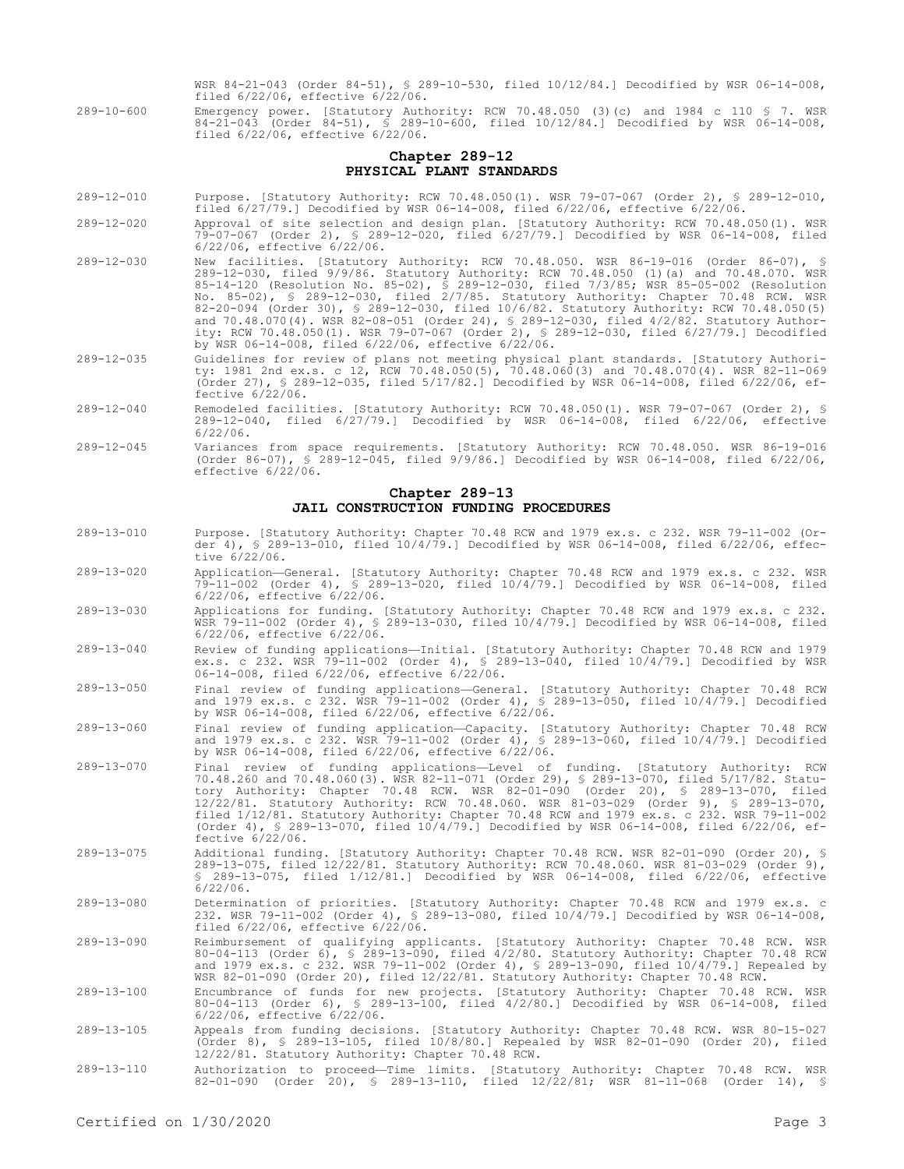WSR 84-21-043 (Order 84-51), § 289-10-530, filed 10/12/84.] Decodified by WSR 06-14-008, filed 6/22/06, effective 6/22/06.

289-10-600 Emergency power. [Statutory Authority: RCW 70.48.050 (3)(c) and 1984 c 110 § 7. WSR 84-21-043 (Order 84-51), § 289-10-600, filed 10/12/84.] Decodified by WSR 06-14-008, filed 6/22/06, effective 6/22/06.

## **Chapter 289-12 PHYSICAL PLANT STANDARDS**

- 289-12-010 Purpose. [Statutory Authority: RCW 70.48.050(1). WSR 79-07-067 (Order 2), § 289-12-010, filed 6/27/79.] Decodified by WSR 06-14-008, filed 6/22/06, effective 6/22/06.
- 289-12-020 Approval of site selection and design plan. [Statutory Authority: RCW 70.48.050(1). WSR 79-07-067 (Order 2), § 289-12-020, filed 6/27/79.] Decodified by WSR 06-14-008, filed 6/22/06, effective 6/22/06.
- 289-12-030 New facilities. [Statutory Authority: RCW 70.48.050. WSR 86-19-016 (Order 86-07), § 289-12-030, filed 9/9/86. Statutory Authority: RCW 70.48.050 (1)(a) and 70.48.070. WSR 85-14-120 (Resolution No. 85-02), § 289-12-030, filed 7/3/85; WSR 85-05-002 (Resolution No. 85-02), § 289-12-030, filed 2/7/85. Statutory Authority: Chapter 70.48 RCW. WSR 82-20-094 (Order 30), § 289-12-030, filed 10/6/82. Statutory Authority: RCW 70.48.050(5) and 70.48.070(4). WSR 82-08-051 (Order 24), § 289-12-030, filed 4/2/82. Statutory Authority: RCW 70.48.050(1). WSR 79-07-067 (Order 2), § 289-12-030, filed 6/27/79.] Decodified by WSR 06-14-008, filed 6/22/06, effective 6/22/06.
- 289-12-035 Guidelines for review of plans not meeting physical plant standards. [Statutory Authority: 1981 2nd ex.s. c 12, RCW 70.48.050(5), 70.48.060(3) and 70.48.070(4). WSR 82-11-069 (Order 27), § 289-12-035, filed 5/17/82.] Decodified by WSR 06-14-008, filed 6/22/06, effective 6/22/06.
- 289-12-040 Remodeled facilities. [Statutory Authority: RCW 70.48.050(1). WSR 79-07-067 (Order 2), § 289-12-040, filed 6/27/79.] Decodified by WSR 06-14-008, filed 6/22/06, effective 6/22/06.
- 289-12-045 Variances from space requirements. [Statutory Authority: RCW 70.48.050. WSR 86-19-016 (Order 86-07), § 289-12-045, filed 9/9/86.] Decodified by WSR 06-14-008, filed 6/22/06, effective  $6/22/06$ .

## **Chapter 289-13 JAIL CONSTRUCTION FUNDING PROCEDURES**

- 289-13-010 Purpose. [Statutory Authority: Chapter 70.48 RCW and 1979 ex.s. c 232. WSR 79-11-002 (Or- $289-13-010$ , filed  $10/4/79$ .] Decodified by WSR 06-14-008, filed 6/22/06, effecder 4),  $\frac{1}{5}$  289<br>tive 6/22/06.
- 289-13-020 Application—General. [Statutory Authority: Chapter 70.48 RCW and 1979 ex.s. c 232. WSR 79-11-002 (Order 4), § 289-13-020, filed 10/4/79.] Decodified by WSR 06-14-008, filed 6/22/06, effective 6/22/06.
- 289-13-030 Applications for funding. [Statutory Authority: Chapter 70.48 RCW and 1979 ex.s. c 232. WSR 79-11-002 (Order 4), § 289-13-030, filed 10/4/79.] Decodified by WSR 06-14-008, filed nsk 79-11-002 (Order 4), §<br>6/22/06, effective 6/22/06.
- 289-13-040 Review of funding applications—Initial. [Statutory Authority: Chapter 70.48 RCW and 1979 ex.s. c 232. WSR 79-11-002 (Order 4), § 289-13-040, filed 10/4/79.] Decodified by WSR 06-14-008, filed 6/22/06, effective 6/22/06.
- 289-13-050 Final review of funding applications—General. [Statutory Authority: Chapter 70.48 RCW and 1979 ex.s. c 232. WSR 79-11-002 (Order 4), § 289-13-050, filed 10/4/79.] Decodified by WSR 06-14-008, filed 6/22/06, effective 6/22/06.
- 289-13-060 Final review of funding application—Capacity. [Statutory Authority: Chapter 70.48 RCW and 1979 ex.s. c 232. WSR 79-11-002 (Order 4), § 289-13-060, filed 10/4/79.] Decodified by WSR 06-14-008, filed 6/22/06, effective 6/22/06.
- 289-13-070 Final review of funding applications—Level of funding. [Statutory Authority: RCW 70.48.260 and 70.48.060(3). WSR 82-11-071 (Order 29), § 289-13-070, filed 5/17/82. Statutory Authority: Chapter 70.48 RCW. WSR 82-01-090 (Order 20), § 289-13-070, filed 12/22/81. Statutory Authority: RCW 70.48.060. WSR 81-03-029 (Order 9), § 289-13-070, filed 1/12/81. Statutory Authority: Chapter 70.48 RCW and 1979 ex.s. c 232. WSR 79-11-002 (Order 4), § 289-13-070, filed 10/4/79.] Decodified by WSR 06-14-008, filed 6/22/06, effective 6/22/06.
- 289-13-075 Additional funding. [Statutory Authority: Chapter 70.48 RCW. WSR 82-01-090 (Order 20), § 289-13-075, filed 12/22/81. Statutory Authority: RCW 70.48.060. WSR 81-03-029 (Order 9), § 289-13-075, filed 1/12/81.] Decodified by WSR 06-14-008, filed 6/22/06, effective 6/22/06.
- 289-13-080 Determination of priorities. [Statutory Authority: Chapter 70.48 RCW and 1979 ex.s. c 232. WSR 79-11-002 (Order 4), § 289-13-080, filed 10/4/79.] Decodified by WSR 06-14-008, filed 6/22/06, effective 6/22/06.
- 289-13-090 Reimbursement of qualifying applicants. [Statutory Authority: Chapter 70.48 RCW. WSR 80-04-113 (Order 6), § 289-13-090, filed 4/2/80. Statutory Authority: Chapter 70.48 RCW and 1979 ex.s. c 232. WSR 79-11-002 (Order 4), § 289-13-090, filed 10/4/79.] Repealed by WSR 82-01-090 (Order 20), filed 12/22/81. Statutory Authority: Chapter 70.48 RCW.
- 289-13-100 Encumbrance of funds for new projects. [Statutory Authority: Chapter 70.48 RCW. WSR 80-04-113 (Order 6), § 289-13-100, filed 4/2/80.] Decodified by WSR 06-14-008, filed 6/22/06, effective 6/22/06.
- 289-13-105 Appeals from funding decisions. [Statutory Authority: Chapter 70.48 RCW. WSR 80-15-027 (Order 8), § 289-13-105, filed 10/8/80.] Repealed by WSR 82-01-090 (Order 20), filed 12/22/81. Statutory Authority: Chapter 70.48 RCW.
- 289-13-110 Authorization to proceed—Time limits. [Statutory Authority: Chapter 70.48 RCW. WSR 82-01-090 (Order 20), § 289-13-110, filed 12/22/81; WSR 81-11-068 (Order 14), §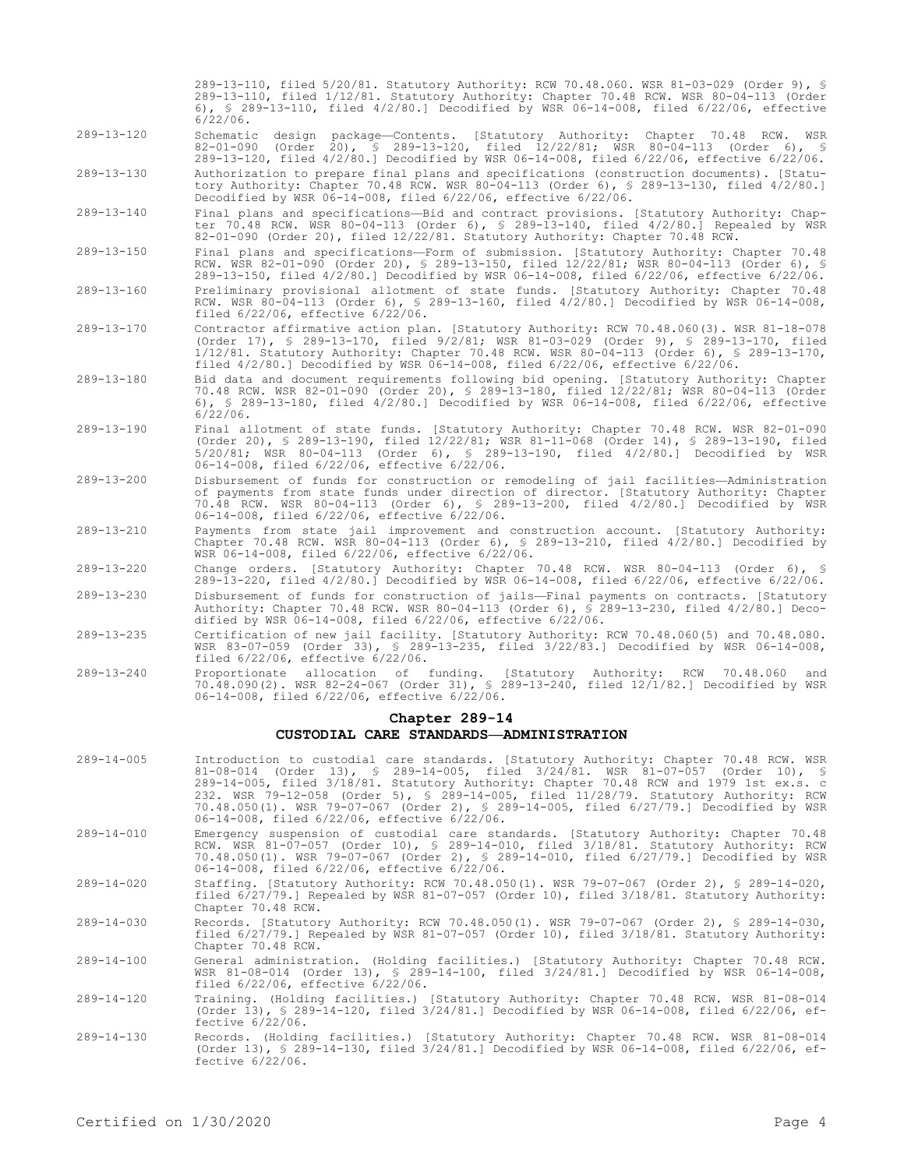6), § 289-13-110, filed 4/2/80.] Decodified by WSR 06-14-008, filed 6/22/06, effective 6/22/06. 289-13-120 Schematic design package—Contents. [Statutory Authority: Chapter 70.48 RCW. WSR 82-01-090 (Order 20), § 289-13-120, filed 12/22/81; WSR 80-04-113 (Order 6), § 289-13-120, filed 4/2/80.] Decodified by WSR 06-14-008, filed 6/22/06, effective 6/22/06. 289-13-130 Authorization to prepare final plans and specifications (construction documents). [Statutory Authority: Chapter 70.48 RCW. WSR 80-04-113 (Order 6), § 289-13-130, filed 4/2/80.] Decodified by WSR 06-14-008, filed 6/22/06, effective 6/22/06. 289-13-140 Final plans and specifications—Bid and contract provisions. [Statutory Authority: Chapter 70.48 RCW. WSR 80-04-113 (Order 6), § 289-13-140, filed 4/2/80.] Repealed by WSR 82-01-090 (Order 20), filed 12/22/81. Statutory Authority: Chapter 70.48 RCW. 289-13-150 Final plans and specifications—Form of submission. [Statutory Authority: Chapter 70.48 RCW. WSR 82-01-090 (Order 20), § 289-13-150, filed 12/22/81; WSR 80-04-113 (Order 6), § 289-13-150, filed 4/2/80.] Decodified by WSR 06-14-008, filed 6/22/06, effective 6/22/06. 289-13-160 Preliminary provisional allotment of state funds. [Statutory Authority: Chapter 70.48 RCW. WSR 80-04-113 (Order 6), § 289-13-160, filed 4/2/80.] Decodified by WSR 06-14-008, filed 6/22/06, effective 6/22/06. 289-13-170 Contractor affirmative action plan. [Statutory Authority: RCW 70.48.060(3). WSR 81-18-078 (Order 17), § 289-13-170, filed 9/2/81; WSR 81-03-029 (Order 9), § 289-13-170, filed 1/12/81. Statutory Authority: Chapter 70.48 RCW. WSR 80-04-113 (Order 6), § 289-13-170, filed  $4/2/80$ .] Decodified by WSR 06-14-008, filed 6/22/06, effective 6/22/06. 289-13-180 Bid data and document requirements following bid opening. [Statutory Authority: Chapter 70.48 RCW. WSR 82-01-090 (Order 20), § 289-13-180, filed 12/22/81; WSR 80-04-113 (Order 6), § 289-13-180, filed 4/2/80.] Decodified by WSR 06-14-008, filed 6/22/06, effective 6/22/06. 289-13-190 Final allotment of state funds. [Statutory Authority: Chapter 70.48 RCW. WSR 82-01-090 (Order 20), § 289-13-190, filed 12/22/81; WSR 81-11-068 (Order 14), § 289-13-190, filed 5/20/81; WSR 80-04-113 (Order 6), § 289-13-190, filed 4/2/80.] Decodified by WSR 06-14-008, filed 6/22/06, effective 6/22/06. 289-13-200 Disbursement of funds for construction or remodeling of jail facilities—Administration of payments from state funds under direction of director. [Statutory Authority: Chapter 70.48 RCW. WSR 80-04-113 (Order 6), § 289-13-200, filed 4/2/80.] Decodified by WSR 06-14-008, filed 6/22/06, effective 6/22/06. 289-13-210 Payments from state jail improvement and construction account. [Statutory Authority: Chapter 70.48 RCW. WSR 80-04-113 (Order 6), § 289-13-210, filed 4/2/80.] Decodified by WSR 06-14-008, filed 6/22/06, effective 6/22/06. 289-13-220 Change orders. [Statutory Authority: Chapter 70.48 RCW. WSR 80-04-113 (Order 6), § 289-13-220, filed 4/2/80.] Decodified by WSR 06-14-008, filed 6/22/06, effective 6/22/06. 289-13-230 Disbursement of funds for construction of jails—Final payments on contracts. [Statutory Authority: Chapter 70.48 RCW. WSR 80-04-113 (Order 6), § 289-13-230, filed 4/2/80.] Decodified by WSR 06-14-008, filed 6/22/06, effective 6/22/06.

289-13-110, filed 5/20/81. Statutory Authority: RCW 70.48.060. WSR 81-03-029 (Order 9), § 289-13-110, filed 1/12/81. Statutory Authority: Chapter 70.48 RCW. WSR 80-04-113 (Order

- 289-13-235 Certification of new jail facility. [Statutory Authority: RCW 70.48.060(5) and 70.48.080. WSR 83-07-059 (Order 33), § 289-13-235, filed 3/22/83.] Decodified by WSR 06-14-008, filed 6/22/06, effective 6/22/06.
- 289-13-240 Proportionate allocation of funding. [Statutory Authority: RCW 70.48.060 and 70.48.090(2). WSR 82-24-067 (Order 31), § 289-13-240, filed 12/1/82.] Decodified by WSR 06-14-008, filed 6/22/06, effective 6/22/06.

## **Chapter 289-14 CUSTODIAL CARE STANDARDS—ADMINISTRATION**

- 289-14-005 Introduction to custodial care standards. [Statutory Authority: Chapter 70.48 RCW. WSR 81-08-014 (Order 13), § 289-14-005, filed 3/24/81. WSR 81-07-057 (Order 10), § 289-14-005, filed 3/18/81. Statutory Authority: Chapter 70.48 RCW and 1979 1st ex.s. c 232. WSR 79-12-058 (Order 5), § 289-14-005, filed 11/28/79. Statutory Authority: RCW 70.48.050(1). WSR 79-07-067 (Order 2), § 289-14-005, filed 6/27/79.] Decodified by WSR 06-14-008, filed 6/22/06, effective 6/22/06. 289-14-010 Emergency suspension of custodial care standards. [Statutory Authority: Chapter 70.48 RCW. WSR 81-07-057 (Order 10), § 289-14-010, filed 3/18/81. Statutory Authority: RCW 70.48.050(1). WSR 79-07-067 (Order 2), § 289-14-010, filed 6/27/79.] Decodified by WSR 06-14-008, filed 6/22/06, effective 6/22/06.
- 289-14-020 Staffing. [Statutory Authority: RCW 70.48.050(1). WSR 79-07-067 (Order 2), § 289-14-020, filed 6/27/79.] Repealed by WSR 81-07-057 (Order 10), filed 3/18/81. Statutory Authority: Chapter 70.48 RCW.
- 289-14-030 Records. [Statutory Authority: RCW 70.48.050(1). WSR 79-07-067 (Order 2), § 289-14-030, filed 6/27/79.] Repealed by WSR 81-07-057 (Order 10), filed 3/18/81. Statutory Authority: Chapter 70.48 RCW.
- 289-14-100 General administration. (Holding facilities.) [Statutory Authority: Chapter 70.48 RCW. WSR 81-08-014 (Order 13), § 289-14-100, filed 3/24/81.] Decodified by WSR 06-14-008, filed 6/22/06, effective 6/22/06.
- 289-14-120 Training. (Holding facilities.) [Statutory Authority: Chapter 70.48 RCW. WSR 81-08-014 (Order 13), § 289-14-120, filed 3/24/81.] Decodified by WSR 06-14-008, filed 6/22/06, effective 6/22/06.
- 289-14-130 Records. (Holding facilities.) [Statutory Authority: Chapter 70.48 RCW. WSR 81-08-014 (Order 13), § 289-14-130, filed 3/24/81.] Decodified by WSR 06-14-008, filed 6/22/06, effective 6/22/06.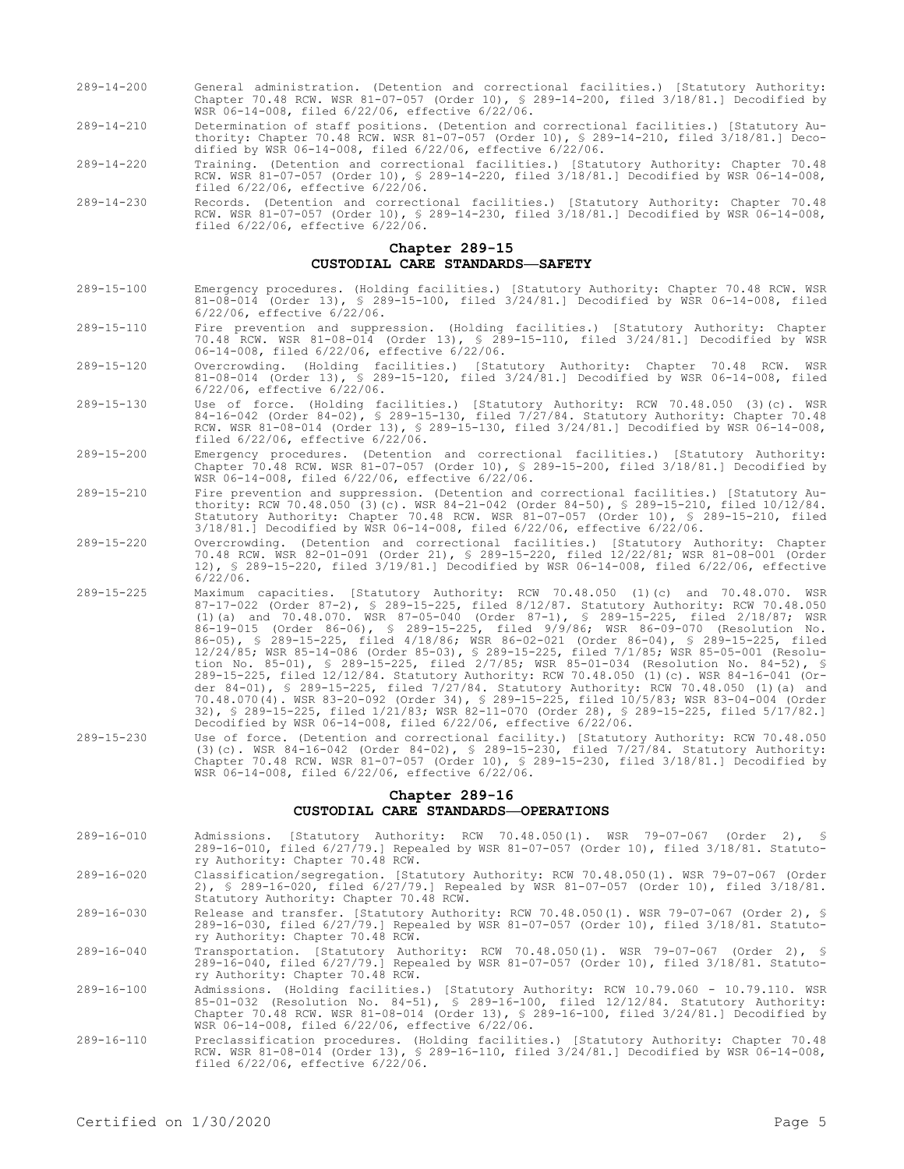- 289-14-200 General administration. (Detention and correctional facilities.) [Statutory Authority: Chapter 70.48 RCW. WSR 81-07-057 (Order 10), § 289-14-200, filed 3/18/81.] Decodified by WSR 06-14-008, filed 6/22/06, effective 6/22/06.
- 289-14-210 Determination of staff positions. (Detention and correctional facilities.) [Statutory Authority: Chapter 70.48 RCW. WSR 81-07-057 (Order 10), § 289-14-210, filed 3/18/81.] Decodified by WSR 06-14-008, filed 6/22/06, effective 6/22/06.
- 289-14-220 Training. (Detention and correctional facilities.) [Statutory Authority: Chapter 70.48 RCW. WSR 81-07-057 (Order 10), § 289-14-220, filed 3/18/81.] Decodified by WSR 06-14-008, filed 6/22/06, effective 6/22/06.
- 289-14-230 Records. (Detention and correctional facilities.) [Statutory Authority: Chapter 70.48 RCW. WSR 81-07-057 (Order 10), § 289-14-230, filed 3/18/81.] Decodified by WSR 06-14-008, filed 6/22/06, effective 6/22/06.

#### **Chapter 289-15 CUSTODIAL CARE STANDARDS—SAFETY**

- 289-15-100 Emergency procedures. (Holding facilities.) [Statutory Authority: Chapter 70.48 RCW. WSR 81-08-014 (Order 13), § 289-15-100, filed 3/24/81.] Decodified by WSR 06-14-008, filed 6/22/06, effective 6/22/06.
- 289-15-110 Fire prevention and suppression. (Holding facilities.) [Statutory Authority: Chapter 70.48 RCW. WSR 81-08-014 (Order 13), § 289-15-110, filed 3/24/81.] Decodified by WSR 06-14-008, filed 6/22/06, effective 6/22/06.
- 289-15-120 Overcrowding. (Holding facilities.) [Statutory Authority: Chapter 70.48 RCW. WSR 81-08-014 (Order 13), § 289-15-120, filed 3/24/81.] Decodified by WSR 06-14-008, filed 6/22/06, effective 6/22/06.
- 289-15-130 Use of force. (Holding facilities.) [Statutory Authority: RCW 70.48.050 (3)(c). WSR 84-16-042 (Order 84-02), § 289-15-130, filed 7/27/84. Statutory Authority: Chapter 70.48 RCW. WSR 81-08-014 (Order 13), § 289-15-130, filed 3/24/81.] Decodified by WSR 06-14-008, filed 6/22/06, effective 6/22/06.
- 289-15-200 Emergency procedures. (Detention and correctional facilities.) [Statutory Authority: Chapter 70.48 RCW. WSR 81-07-057 (Order 10), § 289-15-200, filed 3/18/81.] Decodified by WSR 06-14-008, filed 6/22/06, effective 6/22/06.
- 289-15-210 Fire prevention and suppression. (Detention and correctional facilities.) [Statutory Authority: RCW 70.48.050 (3)(c). WSR 84-21-042 (Order 84-50), § 289-15-210, filed 10/12/84. Statutory Authority: Chapter 70.48 RCW. WSR 81-07-057 (Order 10), § 289-15-210, filed 3/18/81.] Decodified by WSR 06-14-008, filed 6/22/06, effective 6/22/06.
- 289-15-220 Overcrowding. (Detention and correctional facilities.) [Statutory Authority: Chapter 70.48 RCW. WSR 82-01-091 (Order 21), § 289-15-220, filed 12/22/81; WSR 81-08-001 (Order 12), § 289-15-220, filed 3/19/81.] Decodified by WSR 06-14-008, filed 6/22/06, effective 6/22/06.
- 289-15-225 Maximum capacities. [Statutory Authority: RCW 70.48.050 (1)(c) and 70.48.070. WSR 87-17-022 (Order 87-2), § 289-15-225, filed 8/12/87. Statutory Authority: RCW 70.48.050 (1)(a) and 70.48.070. WSR 87-05-040 (Order 87-1), § 289-15-225, filed 2/18/87; WSR 86-19-015 (Order 86-06), § 289-15-225, filed 9/9/86; WSR 86-09-070 (Resolution No. 86-05), § 289-15-225, filed 4/18/86; WSR 86-02-021 (Order 86-04), § 289-15-225, filed 12/24/85; WSR 85-14-086 (Order 85-03), § 289-15-225, filed 7/1/85; WSR 85-05-001 (Resolution No. 85-01), § 289-15-225, filed 2/7/85; WSR 85-01-034 (Resolution No. 84-52), § 289-15-225, filed 12/12/84. Statutory Authority: RCW 70.48.050 (1)(c). WSR 84-16-041 (Order 84-01), § 289-15-225, filed 7/27/84. Statutory Authority: RCW 70.48.050 (1)(a) and 70.48.070(4). WSR 83-20-092 (Order 34), § 289-15-225, filed 10/5/83; WSR 83-04-004 (Order 32), § 289-15-225, filed 1/21/83; WSR 82-11-070 (Order 28), § 289-15-225, filed 5/17/82.] Decodified by WSR 06-14-008, filed 6/22/06, effective 6/22/06.
- 289-15-230 Use of force. (Detention and correctional facility.) [Statutory Authority: RCW 70.48.050 (3)(c). WSR 84-16-042 (Order 84-02), § 289-15-230, filed 7/27/84. Statutory Authority: Chapter 70.48 RCW. WSR 81-07-057 (Order 10), § 289-15-230, filed 3/18/81.] Decodified by WSR 06-14-008, filed 6/22/06, effective 6/22/06.

#### **Chapter 289-16**

## **CUSTODIAL CARE STANDARDS—OPERATIONS**

- 289-16-010 Admissions. [Statutory Authority: RCW 70.48.050(1). WSR 79-07-067 (Order 2), § 289-16-010, filed 6/27/79.] Repealed by WSR 81-07-057 (Order 10), filed 3/18/81. Statutory Authority: Chapter 70.48 RCW.
- 289-16-020 Classification/segregation. [Statutory Authority: RCW 70.48.050(1). WSR 79-07-067 (Order 2), § 289-16-020, filed 6/27/79.] Repealed by WSR 81-07-057 (Order 10), filed 3/18/81. Statutory Authority: Chapter 70.48 RCW.
- 289-16-030 Release and transfer. [Statutory Authority: RCW 70.48.050(1). WSR 79-07-067 (Order 2), § 289-16-030, filed 6/27/79.] Repealed by WSR 81-07-057 (Order 10), filed 3/18/81. Statutory Authority: Chapter 70.48 RCW.
- 289-16-040 Transportation. [Statutory Authority: RCW 70.48.050(1). WSR 79-07-067 (Order 2), § 289-16-040, filed 6/27/79.] Repealed by WSR 81-07-057 (Order 10), filed 3/18/81. Statutory Authority: Chapter 70.48 RCW.
- 289-16-100 Admissions. (Holding facilities.) [Statutory Authority: RCW 10.79.060 10.79.110. WSR 85-01-032 (Resolution No. 84-51), § 289-16-100, filed 12/12/84. Statutory Authority: Chapter 70.48 RCW. WSR 81-08-014 (Order 13), § 289-16-100, filed 3/24/81.] Decodified by WSR 06-14-008, filed 6/22/06, effective 6/22/06.
- 289-16-110 Preclassification procedures. (Holding facilities.) [Statutory Authority: Chapter 70.48 RCW. WSR 81-08-014 (Order 13), § 289-16-110, filed 3/24/81.] Decodified by WSR 06-14-008, filed 6/22/06, effective 6/22/06.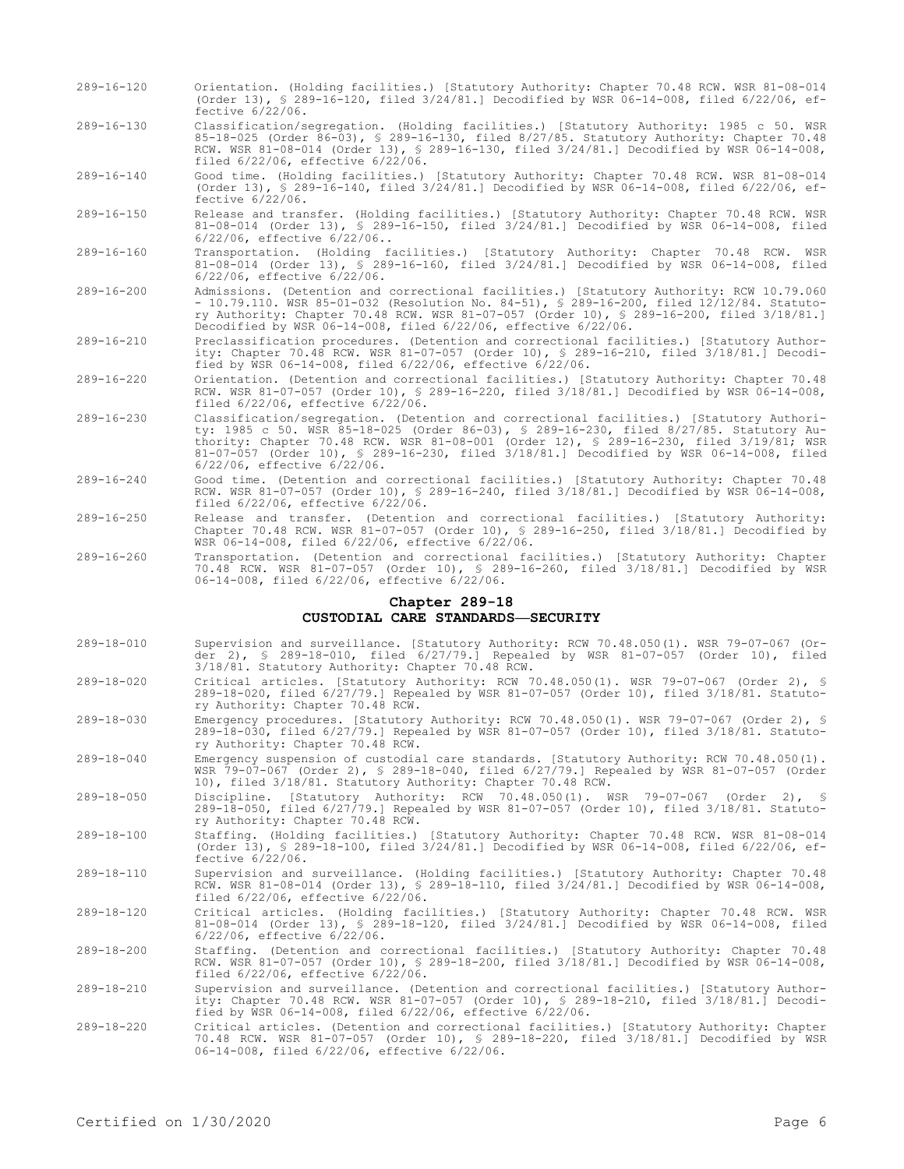- 289-16-120 Orientation. (Holding facilities.) [Statutory Authority: Chapter 70.48 RCW. WSR 81-08-014 (Order 13), § 289-16-120, filed 3/24/81.] Decodified by WSR 06-14-008, filed 6/22/06, effective 6/22/06.
- 289-16-130 Classification/segregation. (Holding facilities.) [Statutory Authority: 1985 c 50. WSR 85-18-025 (Order 86-03), § 289-16-130, filed 8/27/85. Statutory Authority: Chapter 70.48 RCW. WSR 81-08-014 (Order 13), § 289-16-130, filed 3/24/81.] Decodified by WSR 06-14-008, filed 6/22/06, effective 6/22/06.

289-16-140 Good time. (Holding facilities.) [Statutory Authority: Chapter 70.48 RCW. WSR 81-08-014 (Order 13), § 289-16-140, filed 3/24/81.] Decodified by WSR 06-14-008, filed 6/22/06, effective 6/22/06.

- 289-16-150 Release and transfer. (Holding facilities.) [Statutory Authority: Chapter 70.48 RCW. WSR 81-08-014 (Order 13), § 289-16-150, filed 3/24/81.] Decodified by WSR 06-14-008, filed 6/22/06, effective 6/22/06..
- 289-16-160 Transportation. (Holding facilities.) [Statutory Authority: Chapter 70.48 RCW. WSR 81-08-014 (Order 13), § 289-16-160, filed 3/24/81.] Decodified by WSR 06-14-008, filed 6/22/06, effective 6/22/06.
- 289-16-200 Admissions. (Detention and correctional facilities.) [Statutory Authority: RCW 10.79.060 - 10.79.110. WSR 85-01-032 (Resolution No. 84-51), § 289-16-200, filed 12/12/84. Statutory Authority: Chapter 70.48 RCW. WSR 81-07-057 (Order 10), § 289-16-200, filed 3/18/81.] Decodified by WSR 06-14-008, filed 6/22/06, effective 6/22/06.
- 289-16-210 Preclassification procedures. (Detention and correctional facilities.) [Statutory Authority: Chapter 70.48 RCW. WSR 81-07-057 (Order 10), § 289-16-210, filed 3/18/81.] Decodified by WSR 06-14-008, filed 6/22/06, effective 6/22/06.
- 289-16-220 Orientation. (Detention and correctional facilities.) [Statutory Authority: Chapter 70.48 RCW. WSR 81-07-057 (Order 10), § 289-16-220, filed 3/18/81.] Decodified by WSR 06-14-008, filed 6/22/06, effective 6/22/06.
- 289-16-230 Classification/segregation. (Detention and correctional facilities.) [Statutory Authority: 1985 c 50. WSR 85-18-025 (Order 86-03), § 289-16-230, filed 8/27/85. Statutory Authority: Chapter 70.48 RCW. WSR 81-08-001 (Order 12), § 289-16-230, filed 3/19/81; WSR 81-07-057 (Order 10), § 289-16-230, filed 3/18/81.] Decodified by WSR 06-14-008, filed 6/22/06, effective 6/22/06.
- 289-16-240 Good time. (Detention and correctional facilities.) [Statutory Authority: Chapter 70.48 RCW. WSR 81-07-057 (Order 10), § 289-16-240, filed 3/18/81.] Decodified by WSR 06-14-008, filed 6/22/06, effective 6/22/06.
- 289-16-250 Release and transfer. (Detention and correctional facilities.) [Statutory Authority: Chapter 70.48 RCW. WSR 81-07-057 (Order 10), § 289-16-250, filed 3/18/81.] Decodified by WSR 06-14-008, filed 6/22/06, effective 6/22/06.
- 289-16-260 Transportation. (Detention and correctional facilities.) [Statutory Authority: Chapter 70.48 RCW. WSR 81-07-057 (Order 10), § 289-16-260, filed 3/18/81.] Decodified by WSR 06-14-008, filed 6/22/06, effective 6/22/06.

## **Chapter 289-18 CUSTODIAL CARE STANDARDS—SECURITY**

- 289-18-010 Supervision and surveillance. [Statutory Authority: RCW 70.48.050(1). WSR 79-07-067 (Order 2), § 289-18-010, filed 6/27/79.] Repealed by WSR 81-07-057 (Order 10), filed 3/18/81. Statutory Authority: Chapter 70.48 RCW.
- 289-18-020 Critical articles. [Statutory Authority: RCW 70.48.050(1). WSR 79-07-067 (Order 2), § 289-18-020, filed 6/27/79.] Repealed by WSR 81-07-057 (Order 10), filed 3/18/81. Statutory Authority: Chapter 70.48 RCW.
- 289-18-030 Emergency procedures. [Statutory Authority: RCW 70.48.050(1). WSR 79-07-067 (Order 2), § 289-18-030, filed 6/27/79.] Repealed by WSR 81-07-057 (Order 10), filed 3/18/81. Statutory Authority: Chapter 70.48 RCW.
- 289-18-040 Emergency suspension of custodial care standards. [Statutory Authority: RCW 70.48.050(1). WSR 79-07-067 (Order 2), § 289-18-040, filed 6/27/79.] Repealed by WSR 81-07-057 (Order 10), filed 3/18/81. Statutory Authority: Chapter 70.48 RCW.
- 289-18-050 Discipline. [Statutory Authority: RCW 70.48.050(1). WSR 79-07-067 (Order 2), § 289-18-050, filed 6/27/79.] Repealed by WSR 81-07-057 (Order 10), filed 3/18/81. Statutory Authority: Chapter 70.48 RCW.
- 289-18-100 Staffing. (Holding facilities.) [Statutory Authority: Chapter 70.48 RCW. WSR 81-08-014 (Order 13), § 289-18-100, filed 3/24/81.] Decodified by WSR 06-14-008, filed 6/22/06, effective 6/22/06.
- 289-18-110 Supervision and surveillance. (Holding facilities.) [Statutory Authority: Chapter 70.48 RCW. WSR 81-08-014 (Order 13), § 289-18-110, filed 3/24/81.] Decodified by WSR 06-14-008, filed 6/22/06, effective 6/22/06.

289-18-120 Critical articles. (Holding facilities.) [Statutory Authority: Chapter 70.48 RCW. WSR 81-08-014 (Order 13), § 289-18-120, filed 3/24/81.] Decodified by WSR 06-14-008, filed 6/22/06, effective 6/22/06.

289-18-200 Staffing. (Detention and correctional facilities.) [Statutory Authority: Chapter 70.48 RCW. WSR 81-07-057 (Order 10), § 289-18-200, filed 3/18/81.] Decodified by WSR 06-14-008, filed 6/22/06, effective 6/22/06.

289-18-210 Supervision and surveillance. (Detention and correctional facilities.) [Statutory Author-ity: Chapter 70.48 RCW. WSR 81-07-057 (Order 10), § 289-18-210, filed 3/18/81.] Decodified by WSR 06-14-008, filed 6/22/06, effective 6/22/06.

289-18-220 Critical articles. (Detention and correctional facilities.) [Statutory Authority: Chapter 70.48 RCW. WSR 81-07-057 (Order 10), § 289-18-220, filed 3/18/81.] Decodified by WSR 06-14-008, filed 6/22/06, effective 6/22/06.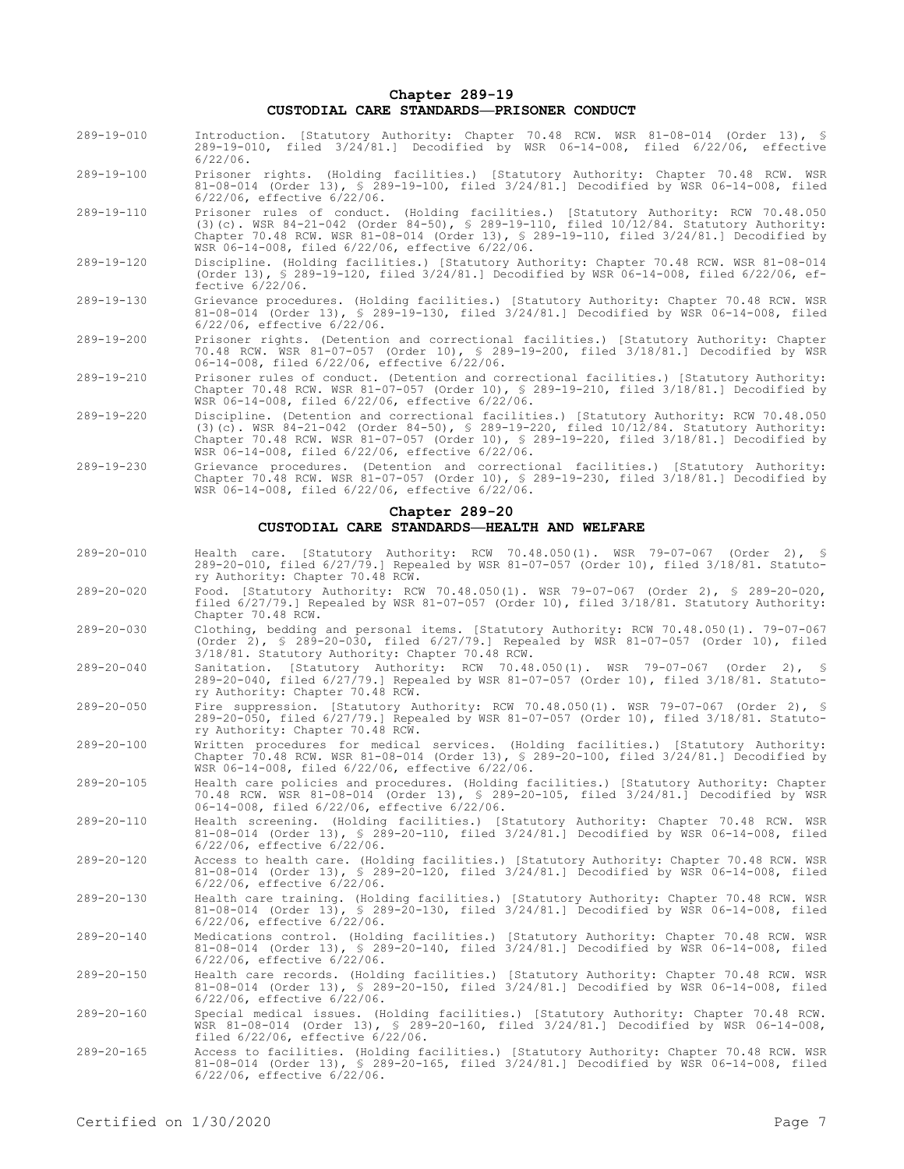## **Chapter 289-19 CUSTODIAL CARE STANDARDS—PRISONER CONDUCT**

- 289-19-010 Introduction. [Statutory Authority: Chapter 70.48 RCW. WSR 81-08-014 (Order 13), § 289-19-010, filed 3/24/81.] Decodified by WSR 06-14-008, filed 6/22/06, effective 6/22/06.
- 289-19-100 Prisoner rights. (Holding facilities.) [Statutory Authority: Chapter 70.48 RCW. WSR 81-08-014 (Order 13), § 289-19-100, filed 3/24/81.] Decodified by WSR 06-14-008, filed 6/22/06, effective 6/22/06.
- 289-19-110 Prisoner rules of conduct. (Holding facilities.) [Statutory Authority: RCW 70.48.050 (3)(c). WSR 84-21-042 (Order 84-50), § 289-19-110, filed 10/12/84. Statutory Authority: Chapter 70.48 RCW. WSR 81-08-014 (Order 13), § 289-19-110, filed 3/24/81.] Decodified by WSR 06-14-008, filed 6/22/06, effective 6/22/06.
- 289-19-120 Discipline. (Holding facilities.) [Statutory Authority: Chapter 70.48 RCW. WSR 81-08-014 (Order 13), § 289-19-120, filed 3/24/81.] Decodified by WSR 06-14-008, filed 6/22/06, effective 6/22/06.
- 289-19-130 Grievance procedures. (Holding facilities.) [Statutory Authority: Chapter 70.48 RCW. WSR 81-08-014 (Order 13), § 289-19-130, filed 3/24/81.] Decodified by WSR 06-14-008, filed 6/22/06, effective 6/22/06.
- 289-19-200 Prisoner rights. (Detention and correctional facilities.) [Statutory Authority: Chapter 70.48 RCW. WSR 81-07-057 (Order 10), § 289-19-200, filed 3/18/81.] Decodified by WSR 06-14-008, filed 6/22/06, effective 6/22/06.
- 289-19-210 Prisoner rules of conduct. (Detention and correctional facilities.) [Statutory Authority: Chapter 70.48 RCW. WSR 81-07-057 (Order 10), § 289-19-210, filed 3/18/81.] Decodified by WSR 06-14-008, filed 6/22/06, effective 6/22/06.
- 289-19-220 Discipline. (Detention and correctional facilities.) [Statutory Authority: RCW 70.48.050 (3)(c). WSR 84-21-042 (Order 84-50), § 289-19-220, filed 10/12/84. Statutory Authority: Chapter 70.48 RCW. WSR 81-07-057 (Order 10), § 289-19-220, filed 3/18/81.] Decodified by WSR 06-14-008, filed 6/22/06, effective 6/22/06.
- 289-19-230 Grievance procedures. (Detention and correctional facilities.) [Statutory Authority: Chapter 70.48 RCW. WSR 81-07-057 (Order 10), § 289-19-230, filed 3/18/81.] Decodified by WSR 06-14-008, filed 6/22/06, effective 6/22/06.

#### **Chapter 289-20**

#### **CUSTODIAL CARE STANDARDS—HEALTH AND WELFARE**

- 289-20-010 Health care. [Statutory Authority: RCW 70.48.050(1). WSR 79-07-067 (Order 2), § 289-20-010, filed 6/27/79.] Repealed by WSR 81-07-057 (Order 10), filed 3/18/81. Statutory Authority: Chapter 70.48 RCW.
- 289-20-020 Food. [Statutory Authority: RCW 70.48.050(1). WSR 79-07-067 (Order 2), § 289-20-020, filed 6/27/79.] Repealed by WSR 81-07-057 (Order 10), filed 3/18/81. Statutory Authority: Chapter 70.48 RCW.
- 289-20-030 Clothing, bedding and personal items. [Statutory Authority: RCW 70.48.050(1). 79-07-067 (Order 2), § 289-20-030, filed 6/27/79.] Repealed by WSR 81-07-057 (Order 10), filed 3/18/81. Statutory Authority: Chapter 70.48 RCW.
- 289-20-040 Sanitation. [Statutory Authority: RCW 70.48.050(1). WSR 79-07-067 (Order 2), § 289-20-040, filed 6/27/79.] Repealed by WSR 81-07-057 (Order 10), filed 3/18/81. Statutory Authority: Chapter 70.48 RCW.
- 289-20-050 Fire suppression. [Statutory Authority: RCW 70.48.050(1). WSR 79-07-067 (Order 2), § 289-20-050, filed 6/27/79.] Repealed by WSR 81-07-057 (Order 10), filed 3/18/81. Statutory Authority: Chapter 70.48 RCW.
- 289-20-100 Written procedures for medical services. (Holding facilities.) [Statutory Authority: Chapter 70.48 RCW. WSR 81-08-014 (Order 13), § 289-20-100, filed 3/24/81.] Decodified by WSR 06-14-008, filed 6/22/06, effective 6/22/06.
- 289-20-105 Health care policies and procedures. (Holding facilities.) [Statutory Authority: Chapter 70.48 RCW. WSR 81-08-014 (Order 13), § 289-20-105, filed 3/24/81.] Decodified by WSR 06-14-008, filed 6/22/06, effective 6/22/06.
- 289-20-110 Health screening. (Holding facilities.) [Statutory Authority: Chapter 70.48 RCW. WSR 81-08-014 (Order 13), § 289-20-110, filed 3/24/81.] Decodified by WSR 06-14-008, filed 6/22/06, effective 6/22/06.
- 289-20-120 Access to health care. (Holding facilities.) [Statutory Authority: Chapter 70.48 RCW. WSR 81-08-014 (Order 13), § 289-20-120, filed 3/24/81.] Decodified by WSR 06-14-008, filed 6/22/06, effective 6/22/06.
- 289-20-130 Health care training. (Holding facilities.) [Statutory Authority: Chapter 70.48 RCW. WSR 81-08-014 (Order 13), § 289-20-130, filed 3/24/81.] Decodified by WSR 06-14-008, filed 6/22/06, effective 6/22/06.

289-20-140 Medications control. (Holding facilities.) [Statutory Authority: Chapter 70.48 RCW. WSR 81-08-014 (Order 13), § 289-20-140, filed 3/24/81.] Decodified by WSR 06-14-008, filed 6/22/06, effective 6/22/06.

- 289-20-150 Health care records. (Holding facilities.) [Statutory Authority: Chapter 70.48 RCW. WSR 81-08-014 (Order 13), § 289-20-150, filed 3/24/81.] Decodified by WSR 06-14-008, filed 6/22/06, effective 6/22/06.
- 289-20-160 Special medical issues. (Holding facilities.) [Statutory Authority: Chapter 70.48 RCW. WSR 81-08-014 (Order 13), § 289-20-160, filed 3/24/81.] Decodified by WSR 06-14-008, filed 6/22/06, effective 6/22/06.
- 289-20-165 Access to facilities. (Holding facilities.) [Statutory Authority: Chapter 70.48 RCW. WSR 81-08-014 (Order 13), § 289-20-165, filed 3/24/81.] Decodified by WSR 06-14-008, filed 6/22/06, effective 6/22/06.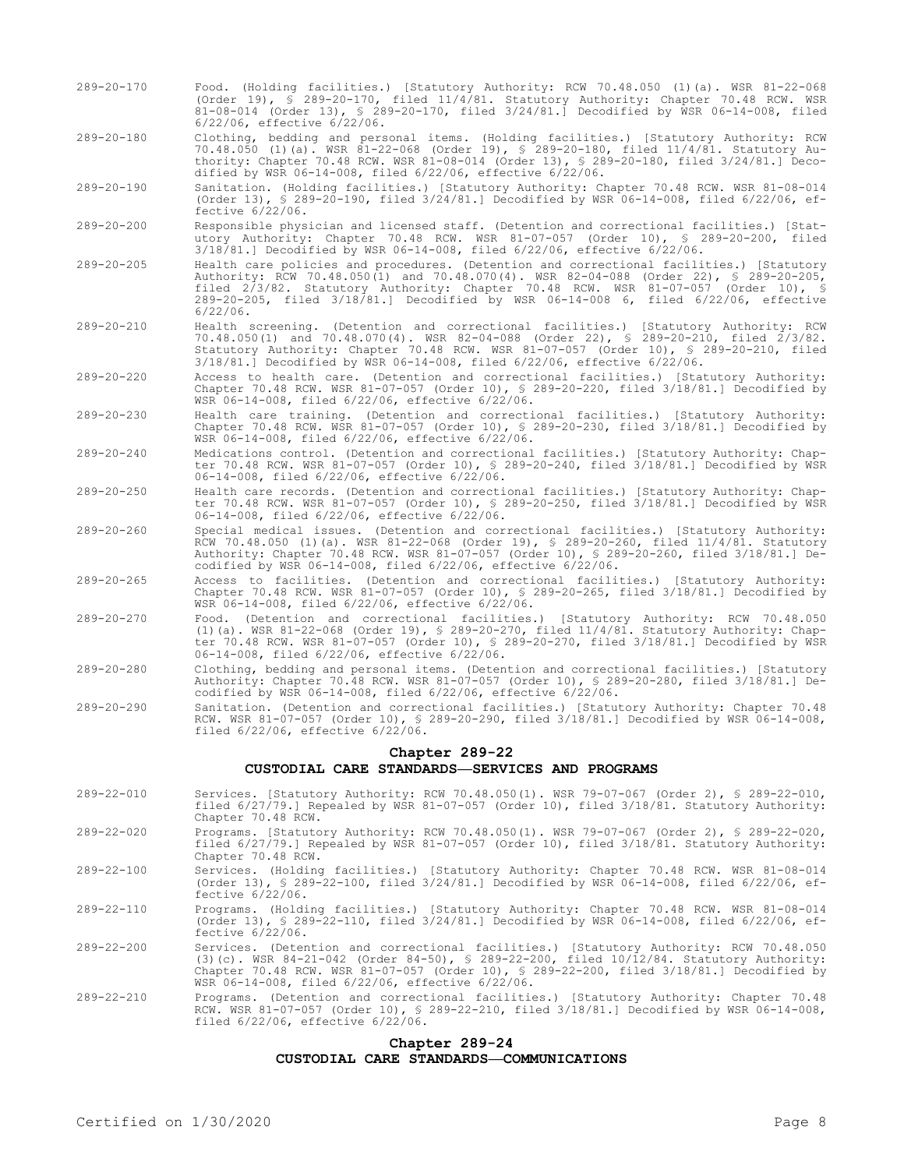- 289-20-170 Food. (Holding facilities.) [Statutory Authority: RCW 70.48.050 (1)(a). WSR 81-22-068 (Order 19), § 289-20-170, filed 11/4/81. Statutory Authority: Chapter 70.48 RCW. WSR 81-08-014 (Order 13), § 289-20-170, filed 3/24/81.] Decodified by WSR 06-14-008, filed 6/22/06, effective 6/22/06.
- 289-20-180 Clothing, bedding and personal items. (Holding facilities.) [Statutory Authority: RCW 70.48.050 (1)(a). WSR 81-22-068 (Order 19), § 289-20-180, filed 11/4/81. Statutory Authority: Chapter 70.48 RCW. WSR 81-08-014 (Order 13), § 289-20-180, filed 3/24/81.] Decodified by WSR 06-14-008, filed 6/22/06, effective 6/22/06.
- 289-20-190 Sanitation. (Holding facilities.) [Statutory Authority: Chapter 70.48 RCW. WSR 81-08-014 (Order 13), § 289-20-190, filed 3/24/81.] Decodified by WSR 06-14-008, filed 6/22/06, effective 6/22/06.
- 289-20-200 Responsible physician and licensed staff. (Detention and correctional facilities.) [Statutory Authority: Chapter 70.48 RCW. WSR 81-07-057 (Order 10), § 289-20-200, filed 3/18/81.] Decodified by WSR 06-14-008, filed 6/22/06, effective 6/22/06.
- 289-20-205 Health care policies and procedures. (Detention and correctional facilities.) [Statutory Authority: RCW 70.48.050(1) and 70.48.070(4). WSR 82-04-088 (Order 22), § 289-20-205, filed 2/3/82. Statutory Authority: Chapter 70.48 RCW. WSR 81-07-057 (Order 10), § 289-20-205, filed 3/18/81.] Decodified by WSR 06-14-008 6, filed 6/22/06, effective 6/22/06.
- 289-20-210 Health screening. (Detention and correctional facilities.) [Statutory Authority: RCW 70.48.050(1) and 70.48.070(4). WSR 82-04-088 (Order 22), § 289-20-210, filed 2/3/82. Statutory Authority: Chapter 70.48 RCW. WSR 81-07-057 (Order 10), § 289-20-210, filed 3/18/81.] Decodified by WSR 06-14-008, filed 6/22/06, effective 6/22/06.
- 289-20-220 Access to health care. (Detention and correctional facilities.) [Statutory Authority: Chapter 70.48 RCW. WSR 81-07-057 (Order 10), § 289-20-220, filed 3/18/81.] Decodified by WSR 06-14-008, filed 6/22/06, effective 6/22/06.
- 289-20-230 Health care training. (Detention and correctional facilities.) [Statutory Authority: Chapter 70.48 RCW. WSR 81-07-057 (Order 10), § 289-20-230, filed 3/18/81.] Decodified by WSR 06-14-008, filed 6/22/06, effective 6/22/06.
- 289-20-240 Medications control. (Detention and correctional facilities.) [Statutory Authority: Chapter 70.48 RCW. WSR 81-07-057 (Order 10), § 289-20-240, filed 3/18/81.] Decodified by WSR 06-14-008, filed 6/22/06, effective 6/22/06.
- 289-20-250 Health care records. (Detention and correctional facilities.) [Statutory Authority: Chapter 70.48 RCW. WSR 81-07-057 (Order 10), § 289-20-250, filed 3/18/81.] Decodified by WSR 06-14-008, filed 6/22/06, effective 6/22/06.
- 289-20-260 Special medical issues. (Detention and correctional facilities.) [Statutory Authority: RCW 70.48.050 (1)(a). WSR 81-22-068 (Order 19), § 289-20-260, filed 11/4/81. Statutory Authority: Chapter 70.48 RCW. WSR 81-07-057 (Order 10), § 289-20-260, filed 3/18/81.] Decodified by WSR 06-14-008, filed 6/22/06, effective 6/22/06.
- 289-20-265 Access to facilities. (Detention and correctional facilities.) [Statutory Authority: Chapter 70.48 RCW. WSR 81-07-057 (Order 10), § 289-20-265, filed 3/18/81.] Decodified by WSR 06-14-008, filed 6/22/06, effective 6/22/06.
- 289-20-270 Food. (Detention and correctional facilities.) [Statutory Authority: RCW 70.48.050 (1)(a). WSR 81-22-068 (Order 19), § 289-20-270, filed 11/4/81. Statutory Authority: Chapter 70.48 RCW. WSR 81-07-057 (Order 10), § 289-20-270, filed 3/18/81.] Decodified by WSR 06-14-008, filed 6/22/06, effective 6/22/06.
- 289-20-280 Clothing, bedding and personal items. (Detention and correctional facilities.) [Statutory Authority: Chapter 70.48 RCW. WSR 81-07-057 (Order 10), § 289-20-280, filed 3/18/81.] Decodified by WSR 06-14-008, filed 6/22/06, effective 6/22/06.
- 289-20-290 Sanitation. (Detention and correctional facilities.) [Statutory Authority: Chapter 70.48 RCW. WSR 81-07-057 (Order 10), § 289-20-290, filed 3/18/81.] Decodified by WSR 06-14-008, filed 6/22/06, effective 6/22/06.

# **Chapter 289-22**

# **CUSTODIAL CARE STANDARDS—SERVICES AND PROGRAMS**

- 289-22-010 Services. [Statutory Authority: RCW 70.48.050(1). WSR 79-07-067 (Order 2), § 289-22-010, filed 6/27/79.] Repealed by WSR 81-07-057 (Order 10), filed 3/18/81. Statutory Authority: Chapter 70.48 RCW.
- 289-22-020 Programs. [Statutory Authority: RCW 70.48.050(1). WSR 79-07-067 (Order 2), § 289-22-020, filed 6/27/79.] Repealed by WSR 81-07-057 (Order 10), filed 3/18/81. Statutory Authority: Chapter 70.48 RCW.
- 289-22-100 Services. (Holding facilities.) [Statutory Authority: Chapter 70.48 RCW. WSR 81-08-014 (Order 13), § 289-22-100, filed 3/24/81.] Decodified by WSR 06-14-008, filed 6/22/06, effective 6/22/06.
- 289-22-110 Programs. (Holding facilities.) [Statutory Authority: Chapter 70.48 RCW. WSR 81-08-014 (Order 13), § 289-22-110, filed 3/24/81.] Decodified by WSR 06-14-008, filed 6/22/06, effective 6/22/06.
- 289-22-200 Services. (Detention and correctional facilities.) [Statutory Authority: RCW 70.48.050 (3)(c). WSR 84-21-042 (Order 84-50), § 289-22-200, filed 10/12/84. Statutory Authority: Chapter 70.48 RCW. WSR 81-07-057 (Order 10), § 289-22-200, filed 3/18/81.] Decodified by WSR 06-14-008, filed 6/22/06, effective 6/22/06.
- 289-22-210 Programs. (Detention and correctional facilities.) [Statutory Authority: Chapter 70.48 RCW. WSR 81-07-057 (Order 10), § 289-22-210, filed 3/18/81.] Decodified by WSR 06-14-008, filed 6/22/06, effective 6/22/06.

## **Chapter 289-24 CUSTODIAL CARE STANDARDS—COMMUNICATIONS**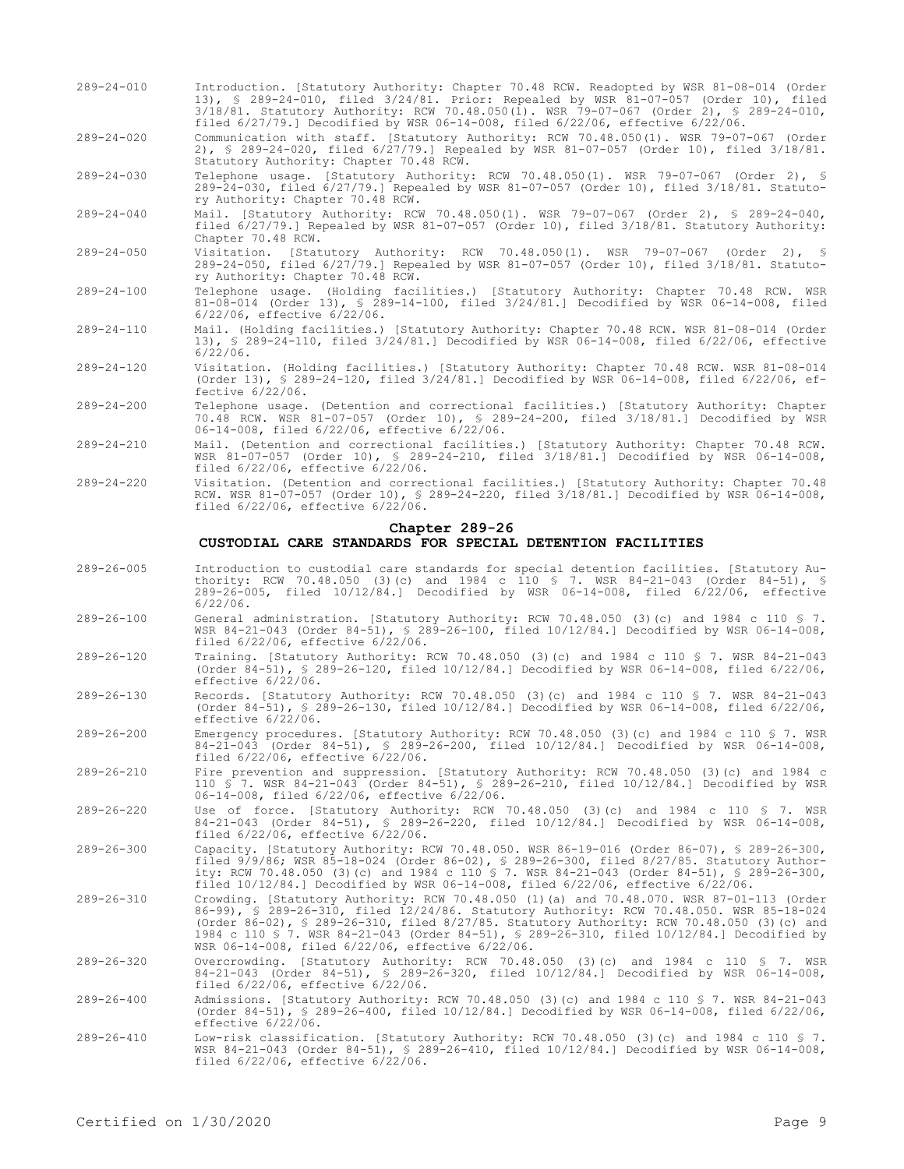- 289-24-010 Introduction. [Statutory Authority: Chapter 70.48 RCW. Readopted by WSR 81-08-014 (Order 13), § 289-24-010, filed 3/24/81. Prior: Repealed by WSR 81-07-057 (Order 10), filed 3/18/81. Statutory Authority: RCW 70.48.050(1). WSR 79-07-067 (Order 2), § 289-24-010, filed 6/27/79.] Decodified by WSR 06-14-008, filed 6/22/06, effective 6/22/06.
- 289-24-020 Communication with staff. [Statutory Authority: RCW 70.48.050(1). WSR 79-07-067 (Order 2), § 289-24-020, filed 6/27/79.] Repealed by WSR 81-07-057 (Order 10), filed 3/18/81. Statutory Authority: Chapter 70.48 RCW.

289-24-030 Telephone usage. [Statutory Authority: RCW 70.48.050(1). WSR 79-07-067 (Order 2), § 289-24-030, filed 6/27/79.] Repealed by WSR 81-07-057 (Order 10), filed 3/18/81. Statutory Authority: Chapter 70.48 RCW.

- 289-24-040 Mail. [Statutory Authority: RCW 70.48.050(1). WSR 79-07-067 (Order 2), § 289-24-040, filed 6/27/79.] Repealed by WSR 81-07-057 (Order 10), filed 3/18/81. Statutory Authority: Chapter 70.48 RCW.
- 289-24-050 Visitation. [Statutory Authority: RCW 70.48.050(1). WSR 79-07-067 (Order 2), § 289-24-050, filed 6/27/79.] Repealed by WSR 81-07-057 (Order 10), filed 3/18/81. Statutory Authority: Chapter 70.48 RCW.
- 289-24-100 Telephone usage. (Holding facilities.) [Statutory Authority: Chapter 70.48 RCW. WSR 81-08-014 (Order 13), § 289-14-100, filed 3/24/81.] Decodified by WSR 06-14-008, filed 6/22/06, effective 6/22/06.
- 289-24-110 Mail. (Holding facilities.) [Statutory Authority: Chapter 70.48 RCW. WSR 81-08-014 (Order 13), § 289-24-110, filed 3/24/81.] Decodified by WSR 06-14-008, filed 6/22/06, effective 6/22/06.
- 289-24-120 Visitation. (Holding facilities.) [Statutory Authority: Chapter 70.48 RCW. WSR 81-08-014 (Order 13), § 289-24-120, filed 3/24/81.] Decodified by WSR 06-14-008, filed 6/22/06, effective 6/22/06.
- 289-24-200 Telephone usage. (Detention and correctional facilities.) [Statutory Authority: Chapter 70.48 RCW. WSR 81-07-057 (Order 10), § 289-24-200, filed 3/18/81.] Decodified by WSR 06-14-008, filed 6/22/06, effective 6/22/06.
- 289-24-210 Mail. (Detention and correctional facilities.) [Statutory Authority: Chapter 70.48 RCW. WSR 81-07-057 (Order 10), § 289-24-210, filed 3/18/81.] Decodified by WSR 06-14-008, filed 6/22/06, effective 6/22/06.
- 289-24-220 Visitation. (Detention and correctional facilities.) [Statutory Authority: Chapter 70.48 RCW. WSR 81-07-057 (Order 10), § 289-24-220, filed 3/18/81.] Decodified by WSR 06-14-008, filed 6/22/06, effective 6/22/06.

# **Chapter 289-26**

# **CUSTODIAL CARE STANDARDS FOR SPECIAL DETENTION FACILITIES**

- 289-26-005 Introduction to custodial care standards for special detention facilities. [Statutory Authority: RCW 70.48.050 (3)(c) and 1984 c 110 § 7. WSR 84-21-043 (Order 84-51), § 289-26-005, filed 10/12/84.] Decodified by WSR 06-14-008, filed 6/22/06, effective 6/22/06.
- 289-26-100 General administration. [Statutory Authority: RCW 70.48.050 (3)(c) and 1984 c 110 § 7. WSR 84-21-043 (Order 84-51), § 289-26-100, filed 10/12/84.] Decodified by WSR 06-14-008, filed 6/22/06, effective 6/22/06.
- 289-26-120 Training. [Statutory Authority: RCW 70.48.050 (3)(c) and 1984 c 110 § 7. WSR 84-21-043 (Order 84-51), § 289-26-120, filed 10/12/84.] Decodified by WSR 06-14-008, filed 6/22/06, effective 6/22/06.
- 289-26-130 Records. [Statutory Authority: RCW 70.48.050 (3)(c) and 1984 c 110 § 7. WSR 84-21-043 (Order 84-51), § 289-26-130, filed 10/12/84.] Decodified by WSR 06-14-008, filed 6/22/06, effective 6/22/06.
- 289-26-200 Emergency procedures. [Statutory Authority: RCW 70.48.050 (3)(c) and 1984 c 110 § 7. WSR 84-21-043 (Order 84-51), § 289-26-200, filed 10/12/84.] Decodified by WSR 06-14-008, filed 6/22/06, effective 6/22/06.
- 289-26-210 Fire prevention and suppression. [Statutory Authority: RCW 70.48.050 (3)(c) and 1984 c 110 § 7. WSR 84-21-043 (Order 84-51), § 289-26-210, filed 10/12/84.] Decodified by WSR 06-14-008, filed 6/22/06, effective 6/22/06.
- 289-26-220 Use of force. [Statutory Authority: RCW 70.48.050 (3)(c) and 1984 c 110 § 7. WSR 84-21-043 (Order 84-51), § 289-26-220, filed 10/12/84.] Decodified by WSR 06-14-008, filed 6/22/06, effective 6/22/06.
- 289-26-300 Capacity. [Statutory Authority: RCW 70.48.050. WSR 86-19-016 (Order 86-07), § 289-26-300, filed 9/9/86; WSR 85-18-024 (Order 86-02), § 289-26-300, filed 8/27/85. Statutory Authority: RCW 70.48.050 (3)(c) and 1984 c 110 § 7. WSR 84-21-043 (Order 84-51), § 289-26-300, filed 10/12/84.] Decodified by WSR 06-14-008, filed 6/22/06, effective 6/22/06.
- 289-26-310 Crowding. [Statutory Authority: RCW 70.48.050 (1)(a) and 70.48.070. WSR 87-01-113 (Order 86-99), § 289-26-310, filed 12/24/86. Statutory Authority: RCW 70.48.050. WSR 85-18-024 (Order 86-02), § 289-26-310, filed 8/27/85. Statutory Authority: RCW 70.48.050 (3)(c) and 1984 c 110 § 7. WSR 84-21-043 (Order 84-51), § 289-26-310, filed 10/12/84.] Decodified by WSR 06-14-008, filed 6/22/06, effective 6/22/06.
- 289-26-320 Overcrowding. [Statutory Authority: RCW 70.48.050 (3)(c) and 1984 c 110 § 7. WSR 84-21-043 (Order 84-51), § 289-26-320, filed 10/12/84.] Decodified by WSR 06-14-008, filed 6/22/06, effective 6/22/06.
- 289-26-400 Admissions. [Statutory Authority: RCW 70.48.050 (3)(c) and 1984 c 110 § 7. WSR 84-21-043 (Order 84-51), § 289-26-400, filed 10/12/84.] Decodified by WSR 06-14-008, filed 6/22/06, effective 6/22/06.
- 289-26-410 Low-risk classification. [Statutory Authority: RCW 70.48.050 (3)(c) and 1984 c 110 § 7. WSR 84-21-043 (Order 84-51), § 289-26-410, filed 10/12/84.] Decodified by WSR 06-14-008, filed 6/22/06, effective 6/22/06.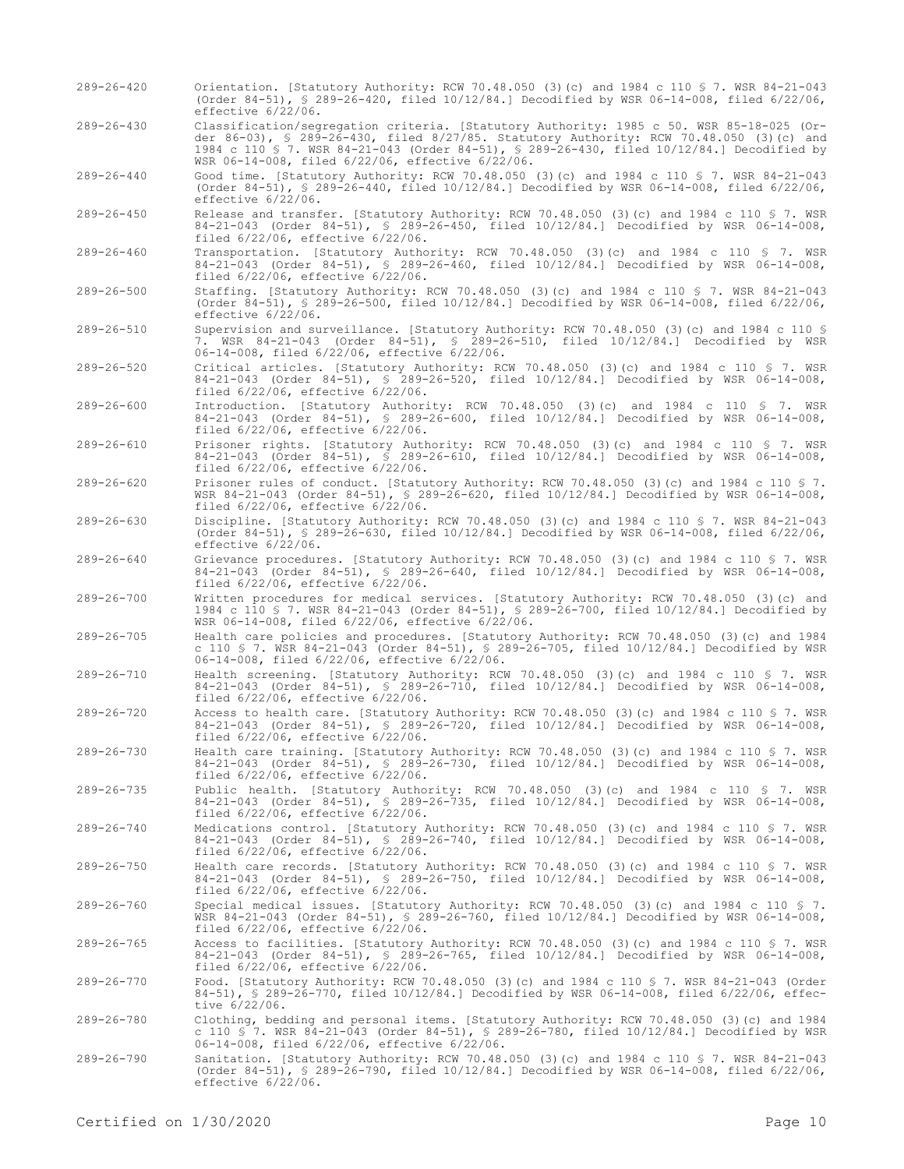effective 6/22/06. 289-26-430 Classification/segregation criteria. [Statutory Authority: 1985 c 50. WSR 85-18-025 (Order 86-03), § 289-26-430, filed 8/27/85. Statutory Authority: RCW 70.48.050 (3)(c) and 1984 c 110 § 7. WSR 84-21-043 (Order 84-51), § 289-26-430, filed 10/12/84.] Decodified by WSR 06-14-008, filed 6/22/06, effective 6/22/06. 289-26-440 Good time. [Statutory Authority: RCW 70.48.050 (3)(c) and 1984 c 110 § 7. WSR 84-21-043 (Order 84-51), § 289-26-440, filed 10/12/84.] Decodified by WSR 06-14-008, filed 6/22/06, effective 6/22/06. 289-26-450 Release and transfer. [Statutory Authority: RCW 70.48.050 (3)(c) and 1984 c 110 § 7. WSR 84-21-043 (Order 84-51), § 289-26-450, filed 10/12/84.] Decodified by WSR 06-14-008, filed 6/22/06, effective 6/22/06. 289-26-460 Transportation. [Statutory Authority: RCW 70.48.050 (3)(c) and 1984 c 110 § 7. WSR 84-21-043 (Order 84-51), § 289-26-460, filed 10/12/84.] Decodified by WSR 06-14-008, filed 6/22/06, effective 6/22/06. 289-26-500 Staffing. [Statutory Authority: RCW 70.48.050 (3)(c) and 1984 c 110 § 7. WSR 84-21-043 (Order 84-51), § 289-26-500, filed 10/12/84.] Decodified by WSR 06-14-008, filed 6/22/06, effective 6/22/06. 289-26-510 Supervision and surveillance. [Statutory Authority: RCW 70.48.050 (3)(c) and 1984 c 110 § 7. WSR 84-21-043 (Order 84-51), § 289-26-510, filed 10/12/84.] Decodified by WSR 06-14-008, filed 6/22/06, effective 6/22/06. 289-26-520 Critical articles. [Statutory Authority: RCW 70.48.050 (3)(c) and 1984 c 110 § 7. WSR 84-21-043 (Order 84-51), § 289-26-520, filed 10/12/84.] Decodified by WSR 06-14-008, filed 6/22/06, effective 6/22/06. 289-26-600 Introduction. [Statutory Authority: RCW 70.48.050 (3)(c) and 1984 c 110 § 7. WSR 84-21-043 (Order 84-51), § 289-26-600, filed 10/12/84.] Decodified by WSR 06-14-008, filed 6/22/06, effective 6/22/06. 289-26-610 Prisoner rights. [Statutory Authority: RCW 70.48.050 (3)(c) and 1984 c 110 § 7. WSR 84-21-043 (Order 84-51), § 289-26-610, filed 10/12/84.] Decodified by WSR 06-14-008, filed 6/22/06, effective 6/22/06. 289-26-620 Prisoner rules of conduct. [Statutory Authority: RCW 70.48.050 (3)(c) and 1984 c 110 § 7. WSR 84-21-043 (Order 84-51), § 289-26-620, filed 10/12/84.] Decodified by WSR 06-14-008, filed 6/22/06, effective 6/22/06. 289-26-630 Discipline. [Statutory Authority: RCW 70.48.050 (3)(c) and 1984 c 110 § 7. WSR 84-21-043 (Order 84-51), § 289-26-630, filed 10/12/84.] Decodified by WSR 06-14-008, filed 6/22/06, effective 6/22/06. 289-26-640 Grievance procedures. [Statutory Authority: RCW 70.48.050 (3)(c) and 1984 c 110 § 7. WSR 84-21-043 (Order 84-51), § 289-26-640, filed 10/12/84.] Decodified by WSR 06-14-008, filed 6/22/06, effective 6/22/06. 289-26-700 Written procedures for medical services. [Statutory Authority: RCW 70.48.050 (3)(c) and 1984 c 110 § 7. WSR 84-21-043 (Order 84-51), § 289-26-700, filed 10/12/84.] Decodified by WSR 06-14-008, filed 6/22/06, effective 6/22/06. 289-26-705 Health care policies and procedures. [Statutory Authority: RCW 70.48.050 (3)(c) and 1984 c 110 § 7. WSR 84-21-043 (Order 84-51), § 289-26-705, filed 10/12/84.] Decodified by WSR 06-14-008, filed 6/22/06, effective 6/22/06. 289-26-710 Health screening. [Statutory Authority: RCW 70.48.050 (3)(c) and 1984 c 110 § 7. WSR 84-21-043 (Order 84-51), § 289-26-710, filed 10/12/84.] Decodified by WSR 06-14-008, filed 6/22/06, effective 6/22/06. 289-26-720 Access to health care. [Statutory Authority: RCW 70.48.050 (3)(c) and 1984 c 110 § 7. WSR 84-21-043 (Order 84-51), § 289-26-720, filed 10/12/84.] Decodified by WSR 06-14-008, filed 6/22/06, effective 6/22/06. 289-26-730 Health care training. [Statutory Authority: RCW 70.48.050 (3)(c) and 1984 c 110 § 7. WSR 84-21-043 (Order 84-51), § 289-26-730, filed 10/12/84.] Decodified by WSR 06-14-008, filed 6/22/06, effective 6/22/06. 289-26-735 Public health. [Statutory Authority: RCW 70.48.050 (3)(c) and 1984 c 110 § 7. WSR 84-21-043 (Order 84-51), § 289-26-735, filed 10/12/84.] Decodified by WSR 06-14-008, filed 6/22/06, effective 6/22/06. 289-26-740 Medications control. [Statutory Authority: RCW 70.48.050 (3)(c) and 1984 c 110 § 7. WSR 84-21-043 (Order 84-51), § 289-26-740, filed 10/12/84.] Decodified by WSR 06-14-008, filed 6/22/06, effective 6/22/06. 289-26-750 Health care records. [Statutory Authority: RCW 70.48.050 (3)(c) and 1984 c 110 § 7. WSR 84-21-043 (Order 84-51), § 289-26-750, filed 10/12/84.] Decodified by WSR 06-14-008, filed 6/22/06, effective 6/22/06. 289-26-760 Special medical issues. [Statutory Authority: RCW 70.48.050 (3)(c) and 1984 c 110 § 7. WSR 84-21-043 (Order 84-51), § 289-26-760, filed 10/12/84.] Decodified by WSR 06-14-008, filed 6/22/06, effective 6/22/06. 289-26-765 Access to facilities. [Statutory Authority: RCW 70.48.050 (3)(c) and 1984 c 110 § 7. WSR 84-21-043 (Order 84-51), § 289-26-765, filed 10/12/84.] Decodified by WSR 06-14-008, filed 6/22/06, effective 6/22/06. 289-26-770 Food. [Statutory Authority: RCW 70.48.050 (3)(c) and 1984 c 110 § 7. WSR 84-21-043 (Order 84-51), § 289-26-770, filed 10/12/84.] Decodified by WSR 06-14-008, filed 6/22/06, effective 6/22/06. 289-26-780 Clothing, bedding and personal items. [Statutory Authority: RCW 70.48.050 (3)(c) and 1984 c 110 § 7. WSR 84-21-043 (Order 84-51), § 289-26-780, filed 10/12/84.] Decodified by WSR 06-14-008, filed 6/22/06, effective 6/22/06. 289-26-790 Sanitation. [Statutory Authority: RCW 70.48.050 (3)(c) and 1984 c 110 § 7. WSR 84-21-043 (Order 84-51), § 289-26-790, filed 10/12/84.] Decodified by WSR 06-14-008, filed 6/22/06, effective  $6/22/06$ .

289-26-420 Orientation. [Statutory Authority: RCW 70.48.050 (3)(c) and 1984 c 110 § 7. WSR 84-21-043

(Order 84-51), § 289-26-420, filed 10/12/84.] Decodified by WSR 06-14-008, filed 6/22/06,